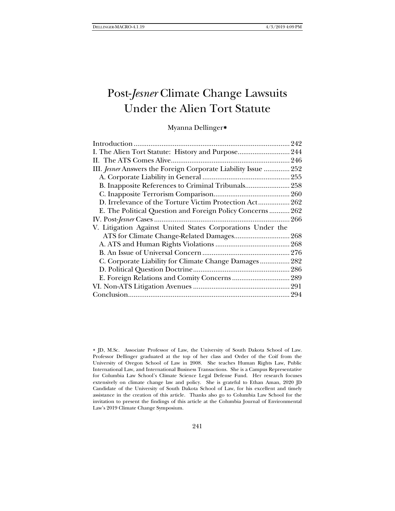# Post-*Jesner* Climate Change Lawsuits Under the Alien Tort Statute

# Myanna Dellinger[∗](#page-0-0)

| I. The Alien Tort Statute: History and Purpose 244             |  |
|----------------------------------------------------------------|--|
|                                                                |  |
| III. Jesner Answers the Foreign Corporate Liability Issue  252 |  |
|                                                                |  |
|                                                                |  |
|                                                                |  |
| D. Irrelevance of the Torture Victim Protection Act 262        |  |
| E. The Political Question and Foreign Policy Concerns 262      |  |
|                                                                |  |
| V. Litigation Against United States Corporations Under the     |  |
|                                                                |  |
|                                                                |  |
|                                                                |  |
| C. Corporate Liability for Climate Change Damages 282          |  |
|                                                                |  |
|                                                                |  |
|                                                                |  |
|                                                                |  |

<span id="page-0-0"></span>∗ JD, M.Sc. Associate Professor of Law, the University of South Dakota School of Law. Professor Dellinger graduated at the top of her class and Order of the Coif from the University of Oregon School of Law in 2008. She teaches Human Rights Law, Public International Law, and International Business Transactions. She is a Campus Representative for Columbia Law School's Climate Science Legal Defense Fund. Her research focuses extensively on climate change law and policy. She is grateful to Ethan Aman, 2020 JD Candidate of the University of South Dakota School of Law, for his excellent and timely assistance in the creation of this article. Thanks also go to Columbia Law School for the invitation to present the findings of this article at the Columbia Journal of Environmental Law's 2019 Climate Change Symposium.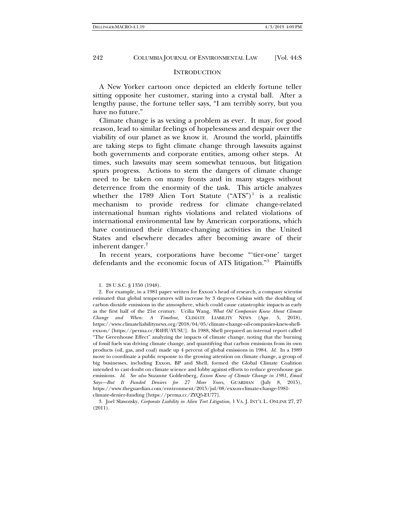#### INTRODUCTION

A New Yorker cartoon once depicted an elderly fortune teller sitting opposite her customer, staring into a crystal ball. After a lengthy pause, the fortune teller says, "I am terribly sorry, but you have no future."

Climate change is as vexing a problem as ever. It may, for good reason, lead to similar feelings of hopelessness and despair over the viability of our planet as we know it. Around the world, plaintiffs are taking steps to fight climate change through lawsuits against both governments and corporate entities, among other steps. At times, such lawsuits may seem somewhat tenuous, but litigation spurs progress. Actions to stem the dangers of climate change need to be taken on many fronts and in many stages without deterrence from the enormity of the task. This article analyzes whether the [1](#page-1-0)789 Alien Tort Statute  $("ATS")^1$  is a realistic mechanism to provide redress for climate change-related international human rights violations and related violations of international environmental law by American corporations, which have continued their climate-changing activities in the United States and elsewhere decades after becoming aware of their inherent danger.<sup>[2](#page-1-1)</sup>

<span id="page-1-4"></span>In recent years, corporations have become "'tier-one' target defendants and the economic focus of ATS litigation."[3](#page-1-2) Plaintiffs

<span id="page-1-2"></span>3. Joel Slawotsky, *Corporate Liability in Alien Tort Litigation*, 1 VA. J. INT'L L. ONLINE 27, 27 (2011).

<span id="page-1-3"></span><sup>1.</sup> 28 U.S.C. § 1350 (1948).

<span id="page-1-1"></span><span id="page-1-0"></span><sup>2.</sup> For example, in a 1981 paper written for Exxon's head of research, a company scientist estimated that global temperatures will increase by 3 degrees Celsius with the doubling of carbon dioxide emissions in the atmosphere, which could cause catastrophic impacts as early as the first half of the 21st century. Ucilia Wang, *What Oil Companies Knew About Climate Change and When: A Timeline*, CLIMATE LIABILITY NEWS (Apr. 5, 2018), https://www.climateliabilitynews.org/2018/04/05/climate-change-oil-companies-knew-shellexxon/ [https://perma.cc/R4HU-YUSU]. In 1988, Shell prepared an internal report called "The Greenhouse Effect" analyzing the impacts of climate change, noting that the burning of fossil fuels was driving climate change, and quantifying that carbon emissions from its own products (oil, gas, and coal) made up 4 percent of global emissions in 1984. *Id*. In a 1989 move to coordinate a public response to the growing attention on climate change, a group of big businesses, including Exxon, BP and Shell, formed the Global Climate Coalition intended to cast doubt on climate science and lobby against efforts to reduce greenhouse gas emissions. *Id*. *See also* Suzanne Goldenberg, *Exxon Knew of Climate Change in 1981, Email Says—But It Funded Deniers for 27 More Years*, GUARDIAN (July 8, 2015), https://www.theguardian.com/environment/2015/jul/08/exxon-climate-change-1981 climate-denier-funding [https://perma.cc/ZYQ5-EU77].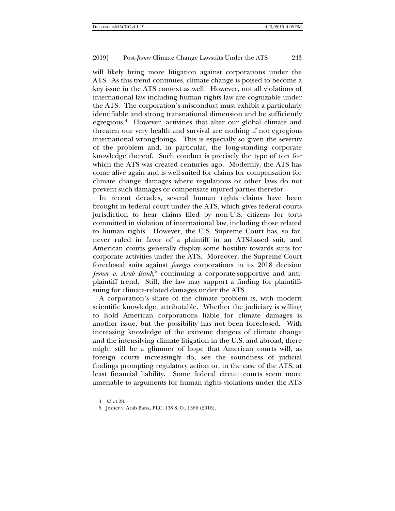will likely bring more litigation against corporations under the ATS. As this trend continues, climate change is poised to become a key issue in the ATS context as well. However, not all violations of international law including human rights law are cognizable under the ATS. The corporation's misconduct must exhibit a particularly identifiable and strong transnational dimension and be sufficiently egregious.<sup>[4](#page-2-0)</sup> However, activities that alter our global climate and threaten our very health and survival are nothing if not egregious international wrongdoings. This is especially so given the severity of the problem and, in particular, the long-standing corporate knowledge thereof. Such conduct is precisely the type of tort for which the ATS was created centuries ago. Modernly, the ATS has come alive again and is well-suited for claims for compensation for climate change damages where regulations or other laws do not prevent such damages or compensate injured parties therefor.

In recent decades, several human rights claims have been brought in federal court under the ATS, which gives federal courts jurisdiction to hear claims filed by non-U.S. citizens for torts committed in violation of international law, including those related to human rights. However, the U.S. Supreme Court has, so far, never ruled in favor of a plaintiff in an ATS-based suit, and American courts generally display some hostility towards suits for corporate activities under the ATS. Moreover, the Supreme Court foreclosed suits against *foreign* corporations in its 2018 decision *Jesner v. Arab Bank*, [5](#page-2-1) continuing a corporate-supportive and antiplaintiff trend. Still, the law may support a finding for plaintiffs suing for climate-related damages under the ATS.

A corporation's share of the climate problem is, with modern scientific knowledge, attributable. Whether the judiciary is willing to hold American corporations liable for climate damages is another issue, but the possibility has not been foreclosed. With increasing knowledge of the extreme dangers of climate change and the intensifying climate litigation in the U.S. and abroad, there might still be a glimmer of hope that American courts will, as foreign courts increasingly do, see the soundness of judicial findings prompting regulatory action or, in the case of the ATS, at least financial liability. Some federal circuit courts seem more amenable to arguments for human rights violations under the ATS

<span id="page-2-0"></span><sup>4</sup>*. Id*. at 28.

<span id="page-2-1"></span><sup>5.</sup> Jesner v. Arab Bank, PLC, 138 S. Ct. 1386 (2018).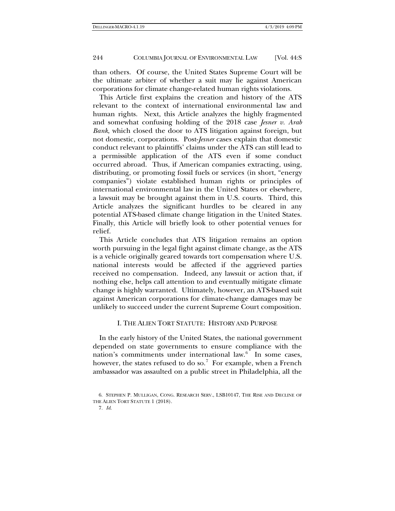than others. Of course, the United States Supreme Court will be the ultimate arbiter of whether a suit may lie against American corporations for climate change-related human rights violations.

This Article first explains the creation and history of the ATS relevant to the context of international environmental law and human rights. Next, this Article analyzes the highly fragmented and somewhat confusing holding of the 2018 case *Jesner v. Arab Bank*, which closed the door to ATS litigation against foreign, but not domestic, corporations. Post-*Jesner* cases explain that domestic conduct relevant to plaintiffs' claims under the ATS can still lead to a permissible application of the ATS even if some conduct occurred abroad. Thus, if American companies extracting, using, distributing, or promoting fossil fuels or services (in short, "energy companies") violate established human rights or principles of international environmental law in the United States or elsewhere, a lawsuit may be brought against them in U.S. courts. Third, this Article analyzes the significant hurdles to be cleared in any potential ATS-based climate change litigation in the United States. Finally, this Article will briefly look to other potential venues for relief.

This Article concludes that ATS litigation remains an option worth pursuing in the legal fight against climate change, as the ATS is a vehicle originally geared towards tort compensation where U.S. national interests would be affected if the aggrieved parties received no compensation. Indeed, any lawsuit or action that, if nothing else, helps call attention to and eventually mitigate climate change is highly warranted. Ultimately, however, an ATS-based suit against American corporations for climate-change damages may be unlikely to succeed under the current Supreme Court composition.

# I. THE ALIEN TORT STATUTE: HISTORY AND PURPOSE

In the early history of the United States, the national government depended on state governments to ensure compliance with the nation's commitments under international law.<sup>[6](#page-3-0)</sup> In some cases, however, the states refused to do so.<sup>[7](#page-3-1)</sup> For example, when a French ambassador was assaulted on a public street in Philadelphia, all the

<span id="page-3-1"></span><span id="page-3-0"></span><sup>6.</sup> STEPHEN P. MULLIGAN, CONG. RESEARCH SERV., LSB10147, THE RISE AND DECLINE OF THE ALIEN TORT STATUTE 1 (2018).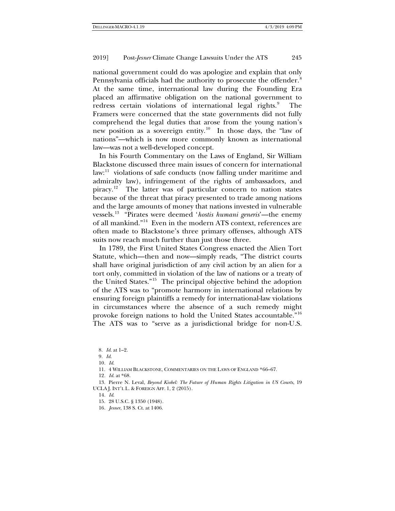national government could do was apologize and explain that only Pennsylvania officials had the authority to prosecute the offender.<sup>[8](#page-4-0)</sup> At the same time, international law during the Founding Era placed an affirmative obligation on the national government to redress certain violations of international legal rights.<sup>[9](#page-4-1)</sup> The Framers were concerned that the state governments did not fully comprehend the legal duties that arose from the young nation's new position as a sovereign entity.[10](#page-4-2) In those days, the "law of nations"—which is now more commonly known as international law—was not a well-developed concept.

<span id="page-4-10"></span>In his Fourth Commentary on the Laws of England, Sir William Blackstone discussed three main issues of concern for international law:<sup>[11](#page-4-3)</sup> violations of safe conducts (now falling under maritime and admiralty law), infringement of the rights of ambassadors, and piracy.<sup>12</sup> The latter was of particular concern to nation states because of the threat that piracy presented to trade among nations and the large amounts of money that nations invested in vulnerable vessels.[13](#page-4-5) "Pirates were deemed '*hostis humani generis*'—the enemy of all mankind."[14](#page-4-6) Even in the modern ATS context, references are often made to Blackstone's three primary offenses, although ATS suits now reach much further than just those three.

<span id="page-4-9"></span>In 1789, the First United States Congress enacted the Alien Tort Statute, which—then and now—simply reads, "The district courts shall have original jurisdiction of any civil action by an alien for a tort only, committed in violation of the law of nations or a treaty of the United States."[15](#page-4-7) The principal objective behind the adoption of the ATS was to "promote harmony in international relations by ensuring foreign plaintiffs a remedy for international-law violations in circumstances where the absence of a such remedy might provoke foreign nations to hold the United States accountable."[16](#page-4-8) The ATS was to "serve as a jurisdictional bridge for non-U.S.

<span id="page-4-0"></span>8*. Id*. at 1–2.

11. 4 WILLIAM BLACKSTONE, COMMENTARIES ON THE LAWS OF ENGLAND \*66–67.

12*. Id*. at \*68.

<span id="page-4-8"></span><span id="page-4-7"></span><span id="page-4-6"></span><span id="page-4-5"></span><span id="page-4-4"></span><span id="page-4-3"></span><span id="page-4-2"></span><span id="page-4-1"></span>13. Pierre N. Leval, *Beyond Kiobel: The Future of Human Rights Litigation in US Courts*, 19 UCLA J. INT'L L. & FOREIGN AFF. 1, 2 (2015).

16*. Jesner*, 138 S. Ct. at 1406.

<sup>9</sup>*. Id*.

<sup>10</sup>*. Id*.

<sup>14</sup>*. Id*.

<sup>15.</sup> 28 U.S.C. § 1350 (1948).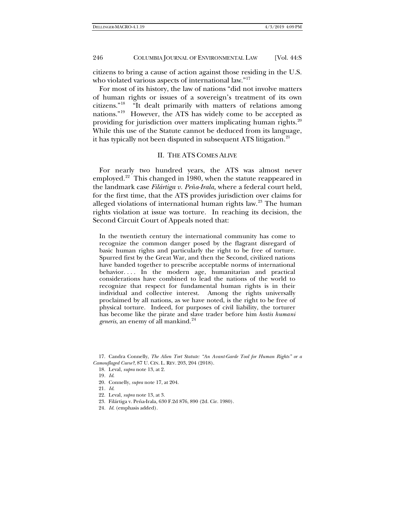citizens to bring a cause of action against those residing in the U.S. who violated various aspects of international law."<sup>[17](#page-5-1)</sup>

For most of its history, the law of nations "did not involve matters of human rights or issues of a sovereign's treatment of its own citizens."[18](#page-5-2) "It dealt primarily with matters of relations among nations."[19](#page-5-3) However, the ATS has widely come to be accepted as providing for jurisdiction over matters implicating human rights. $20$ While this use of the Statute cannot be deduced from its language, it has typically not been disputed in subsequent ATS litigation.<sup>[21](#page-5-5)</sup>

## <span id="page-5-0"></span>II. THE ATS COMES ALIVE

For nearly two hundred years, the ATS was almost never employed.<sup>22</sup> This changed in 1980, when the statute reappeared in the landmark case *Filártiga v. Peña-Irala,* where a federal court held, for the first time, that the ATS provides jurisdiction over claims for alleged violations of international human rights law.<sup>[23](#page-5-7)</sup> The human rights violation at issue was torture. In reaching its decision, the Second Circuit Court of Appeals noted that:

In the twentieth century the international community has come to recognize the common danger posed by the flagrant disregard of basic human rights and particularly the right to be free of torture. Spurred first by the Great War, and then the Second, civilized nations have banded together to prescribe acceptable norms of international behavior.... In the modern age, humanitarian and practical considerations have combined to lead the nations of the world to recognize that respect for fundamental human rights is in their individual and collective interest. Among the rights universally proclaimed by all nations, as we have noted, is the right to be free of physical torture. Indeed, for purposes of civil liability, the torturer has become like the pirate and slave trader before him *hostis humani generis*, an enemy of all mankind.<sup>[24](#page-5-8)</sup>

<span id="page-5-4"></span><span id="page-5-3"></span><span id="page-5-2"></span><span id="page-5-1"></span>17. Candra Connelly, *The Alien Tort Statute: "An Avant-Garde Tool for Human Rights" or a Camouflaged Curse?*, 87 U. CIN. L. REV. 203, 204 (2018).

- 18. Leval, *supra* not[e 13,](#page-4-9) at 2.
- 19*. Id*.
- 20. Connelly, *supra* not[e 17,](#page-5-0) at 204.
- <span id="page-5-5"></span>21*. Id*.
- <span id="page-5-7"></span><span id="page-5-6"></span>22. Leval, *supra* not[e 13,](#page-4-9) at 3.
- 23. Filártiga v. Peña-Irala, 630 F.2d 876, 890 (2d. Cir. 1980).
- <span id="page-5-8"></span>24*. Id*. (emphasis added).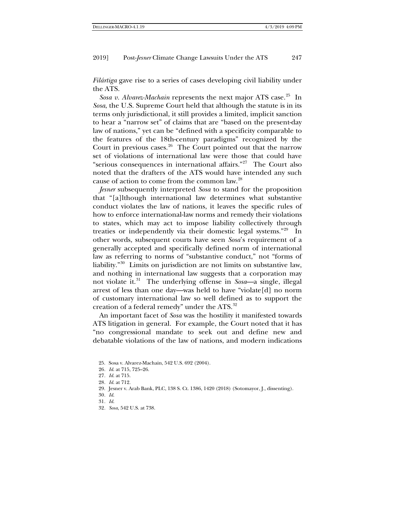*Filártiga* gave rise to a series of cases developing civil liability under the ATS.

*Sosa v. Alvarez-Machain* represents the next major ATS case.<sup>[25](#page-6-0)</sup> In *Sosa*, the U.S. Supreme Court held that although the statute is in its terms only jurisdictional, it still provides a limited, implicit sanction to hear a "narrow set" of claims that are "based on the present-day law of nations," yet can be "defined with a specificity comparable to the features of the 18th-century paradigms" recognized by the Court in previous cases. $26$  The Court pointed out that the narrow set of violations of international law were those that could have "serious consequences in international affairs."<sup>27</sup> The Court also noted that the drafters of the ATS would have intended any such cause of action to come from the common law.[28](#page-6-3)

*Jesner* subsequently interpreted *Sosa* to stand for the proposition that "[a]lthough international law determines what substantive conduct violates the law of nations, it leaves the specific rules of how to enforce international-law norms and remedy their violations to states, which may act to impose liability collectively through treaties or independently via their domestic legal systems."[29](#page-6-4) In other words, subsequent courts have seen *Sosa*'s requirement of a generally accepted and specifically defined norm of international law as referring to norms of "substantive conduct," not "forms of liability."[30](#page-6-5) Limits on jurisdiction are not limits on substantive law, and nothing in international law suggests that a corporation may not violate it.[31](#page-6-6) The underlying offense in *Sosa*—a single, illegal arrest of less than one day—was held to have "violate[d] no norm of customary international law so well defined as to support the creation of a federal remedy" under the ATS.<sup>[32](#page-6-7)</sup>

An important facet of *Sosa* was the hostility it manifested towards ATS litigation in general. For example, the Court noted that it has "no congressional mandate to seek out and define new and debatable violations of the law of nations, and modern indications

<span id="page-6-6"></span><span id="page-6-5"></span><span id="page-6-4"></span>30*. Id*.

32*. Sosa*, 542 U.S. at 738.

<span id="page-6-0"></span><sup>25.</sup> Sosa v. Alvarez-Machain, 542 U.S. 692 (2004).

<span id="page-6-1"></span><sup>26</sup>*. Id*. at 715, 725–26.

<span id="page-6-2"></span><sup>27</sup>*. Id*. at 715.

<span id="page-6-3"></span><sup>28</sup>*. Id*. at 712.

<sup>29.</sup> Jesner v. Arab Bank, PLC, 138 S. Ct. 1386, 1420 (2018) (Sotomayor, J., dissenting).

<span id="page-6-7"></span><sup>31</sup>*. Id*.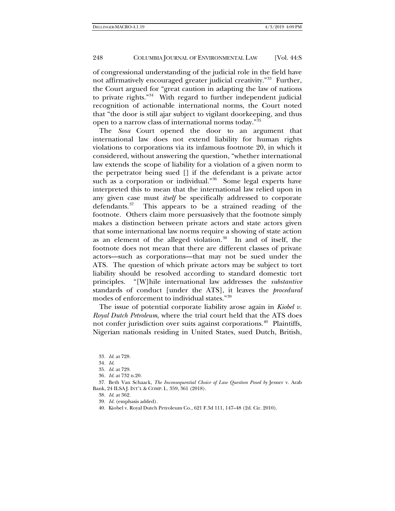of congressional understanding of the judicial role in the field have not affirmatively encouraged greater judicial creativity."<sup>[33](#page-7-0)</sup> Further, the Court argued for "great caution in adapting the law of nations to private rights."[34](#page-7-1) With regard to further independent judicial recognition of actionable international norms, the Court noted that "the door is still ajar subject to vigilant doorkeeping, and thus open to a narrow class of international norms today.["35](#page-7-2)

<span id="page-7-8"></span>The *Sosa* Court opened the door to an argument that international law does not extend liability for human rights violations to corporations via its infamous footnote 20, in which it considered, without answering the question, "whether international law extends the scope of liability for a violation of a given norm to the perpetrator being sued [] if the defendant is a private actor such as a corporation or individual."<sup>36</sup> Some legal experts have interpreted this to mean that the international law relied upon in any given case must *itself* be specifically addressed to corporate defendants.[37](#page-7-4) This appears to be a strained reading of the footnote. Others claim more persuasively that the footnote simply makes a distinction between private actors and state actors given that some international law norms require a showing of state action as an element of the alleged violation.[38](#page-7-5) In and of itself, the footnote does not mean that there are different classes of private actors—such as corporations—that may not be sued under the ATS. The question of which private actors may be subject to tort liability should be resolved according to standard domestic tort principles. "[W]hile international law addresses the *substantive* standards of conduct [under the ATS], it leaves the *procedural* modes of enforcement to individual states."[39](#page-7-6)

The issue of potential corporate liability arose again in *Kiobel v. Royal Dutch Petroleum*, where the trial court held that the ATS does not confer jurisdiction over suits against corporations.<sup>[40](#page-7-7)</sup> Plaintiffs, Nigerian nationals residing in United States, sued Dutch, British,

39*. Id*. (emphasis added).

<sup>33</sup>*. Id*. at 728.

<sup>34</sup>*. Id*.

<sup>35</sup>*. Id*. at 729.

<sup>36</sup>*. Id*. at 732 n.20.

<span id="page-7-7"></span><span id="page-7-6"></span><span id="page-7-5"></span><span id="page-7-4"></span><span id="page-7-3"></span><span id="page-7-2"></span><span id="page-7-1"></span><span id="page-7-0"></span><sup>37.</sup> Beth Van Schaack, *The Inconsequential Choice of Law Question Posed by* Jesner v. Arab Bank, 24 ILSA J. INT'L & COMP. L. 359, 361 (2018).

<sup>38</sup>*. Id*. at 362.

<sup>40.</sup> Kiobel v. Royal Dutch Petroleum Co*.*, 621 F.3d 111, 147–48 (2d. Cir. 2010).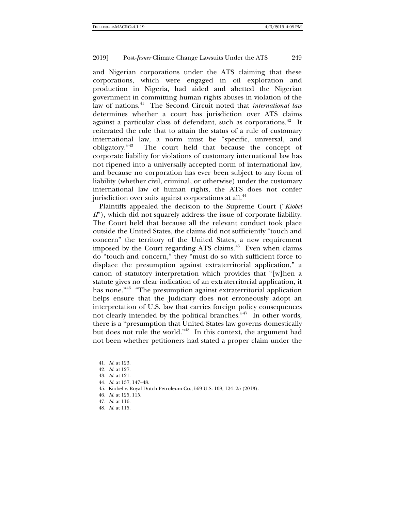and Nigerian corporations under the ATS claiming that these corporations, which were engaged in oil exploration and production in Nigeria, had aided and abetted the Nigerian government in committing human rights abuses in violation of the law of nations.[41](#page-8-0) The Second Circuit noted that *international law* determines whether a court has jurisdiction over ATS claims against a particular class of defendant, such as corporations.<sup>[42](#page-8-1)</sup> It reiterated the rule that to attain the status of a rule of customary international law, a norm must be "specific, universal, and obligatory."[43](#page-8-2) The court held that because the concept of corporate liability for violations of customary international law has not ripened into a universally accepted norm of international law, and because no corporation has ever been subject to any form of liability (whether civil, criminal, or otherwise) under the customary international law of human rights, the ATS does not confer jurisdiction over suits against corporations at all.<sup>44</sup>

Plaintiffs appealed the decision to the Supreme Court ("*Kiobel II*"), which did not squarely address the issue of corporate liability. The Court held that because all the relevant conduct took place outside the United States, the claims did not sufficiently "touch and concern" the territory of the United States, a new requirement imposed by the Court regarding ATS claims.<sup>45</sup> Even when claims do "touch and concern," they "must do so with sufficient force to displace the presumption against extraterritorial application," a canon of statutory interpretation which provides that "[w]hen a statute gives no clear indication of an extraterritorial application, it has none."<sup>46</sup> "The presumption against extraterritorial application helps ensure that the Judiciary does not erroneously adopt an interpretation of U.S. law that carries foreign policy consequences not clearly intended by the political branches.<sup>"47</sup> In other words, there is a "presumption that United States law governs domestically but does not rule the world."[48](#page-8-7) In this context, the argument had not been whether petitioners had stated a proper claim under the

- <span id="page-8-3"></span>44*. Id*. at 137, 147–48.
- <span id="page-8-4"></span>45. Kiobel v. Royal Dutch Petroleum Co*.*, 569 U.S. 108, 124–25 (2013).
- <span id="page-8-5"></span>46*. Id*. at 125, 115.
- <span id="page-8-6"></span>47*. Id*. at 116.
- <span id="page-8-7"></span>48*. Id*. at 115.

<span id="page-8-0"></span><sup>41</sup>*. Id*. at 123.

<span id="page-8-1"></span><sup>42</sup>*. Id*. at 127.

<span id="page-8-2"></span><sup>43</sup>*. Id*. at 121.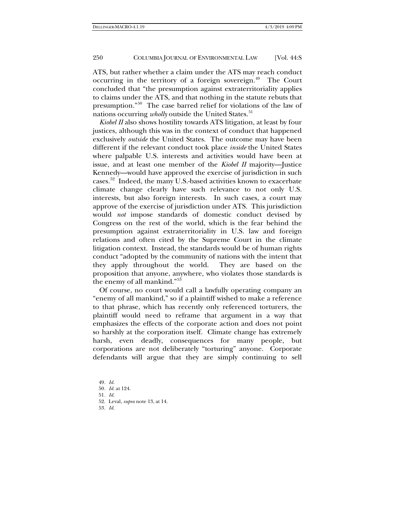ATS, but rather whether a claim under the ATS may reach conduct occurring in the territory of a foreign sovereign. $49$  The Court concluded that "the presumption against extraterritoriality applies to claims under the ATS, and that nothing in the statute rebuts that presumption."[50](#page-9-1) The case barred relief for violations of the law of nations occurring *wholly* outside the United States.<sup>[51](#page-9-2)</sup>

*Kiobel II* also shows hostility towards ATS litigation, at least by four justices, although this was in the context of conduct that happened exclusively *outside* the United States. The outcome may have been different if the relevant conduct took place *inside* the United States where palpable U.S. interests and activities would have been at issue, and at least one member of the *Kiobel II* majority—Justice Kennedy—would have approved the exercise of jurisdiction in such cases.[52](#page-9-3) Indeed, the many U.S.-based activities known to exacerbate climate change clearly have such relevance to not only U.S. interests, but also foreign interests. In such cases, a court may approve of the exercise of jurisdiction under ATS. This jurisdiction would *not* impose standards of domestic conduct devised by Congress on the rest of the world, which is the fear behind the presumption against extraterritoriality in U.S. law and foreign relations and often cited by the Supreme Court in the climate litigation context. Instead, the standards would be of human rights conduct "adopted by the community of nations with the intent that they apply throughout the world. They are based on the proposition that anyone, anywhere, who violates those standards is the enemy of all mankind."<sup>[53](#page-9-4)</sup>

Of course, no court would call a lawfully operating company an "enemy of all mankind," so if a plaintiff wished to make a reference to that phrase, which has recently only referenced torturers, the plaintiff would need to reframe that argument in a way that emphasizes the effects of the corporate action and does not point so harshly at the corporation itself. Climate change has extremely harsh, even deadly, consequences for many people, but corporations are not deliberately "torturing" anyone. Corporate defendants will argue that they are simply continuing to sell

<span id="page-9-4"></span><span id="page-9-3"></span><span id="page-9-2"></span><span id="page-9-1"></span><span id="page-9-0"></span>49*. Id*. 50*. Id*. at 124. 51*. Id*. 52. Leval, *supra* not[e 13,](#page-4-9) at 14. 53*. Id*.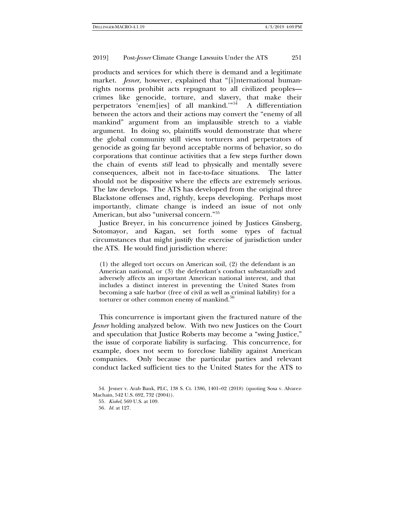products and services for which there is demand and a legitimate market. *Jesner,* however, explained that "[i]nternational humanrights norms prohibit acts repugnant to all civilized peoples crimes like genocide, torture, and slavery, that make their perpetrators 'enem[ies] of all mankind.'"[54](#page-10-0) A differentiation between the actors and their actions may convert the "enemy of all mankind" argument from an implausible stretch to a viable argument. In doing so, plaintiffs would demonstrate that where the global community still views torturers and perpetrators of genocide as going far beyond acceptable norms of behavior, so do corporations that continue activities that a few steps further down the chain of events *still* lead to physically and mentally severe consequences, albeit not in face-to-face situations. The latter should not be dispositive where the effects are extremely serious. The law develops. The ATS has developed from the original three Blackstone offenses and, rightly, keeps developing. Perhaps most importantly, climate change is indeed an issue of not only American, but also "universal concern."[55](#page-10-1)

Justice Breyer, in his concurrence joined by Justices Ginsberg, Sotomayor, and Kagan, set forth some types of factual circumstances that might justify the exercise of jurisdiction under the ATS. He would find jurisdiction where:

(1) the alleged tort occurs on American soil, (2) the defendant is an American national, or (3) the defendant's conduct substantially and adversely affects an important American national interest, and that includes a distinct interest in preventing the United States from becoming a safe harbor (free of civil as well as criminal liability) for a torturer or other common enemy of mankind.<sup>[56](#page-10-2)</sup>

This concurrence is important given the fractured nature of the *Jesner* holding analyzed below. With two new Justices on the Court and speculation that Justice Roberts may become a "swing Justice," the issue of corporate liability is surfacing. This concurrence, for example, does not seem to foreclose liability against American companies. Only because the particular parties and relevant conduct lacked sufficient ties to the United States for the ATS to

55*. Kiobel*, 569 U.S. at 109.

56*. Id*. at 127.

<span id="page-10-2"></span><span id="page-10-1"></span><span id="page-10-0"></span><sup>54.</sup> Jesner v. Arab Bank, PLC, 138 S. Ct. 1386, 1401–02 (2018) (quoting Sosa v. Alvarez-Machain, 542 U.S. 692, 732 (2004)).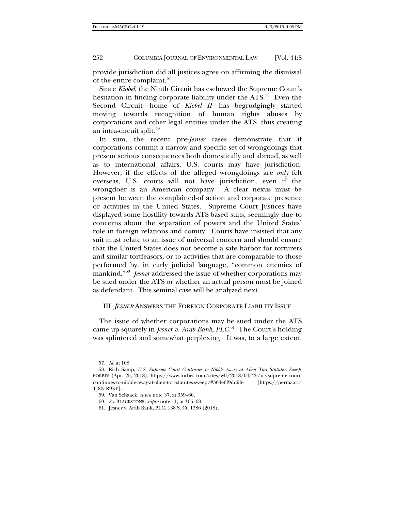provide jurisdiction did all justices agree on affirming the dismissal of the entire complaint.<sup>57</sup>

Since *Kiobel*, the Ninth Circuit has eschewed the Supreme Court's hesitation in finding corporate liability under the ATS.<sup>[58](#page-11-1)</sup> Even the Second Circuit—home of *Kiobel II*—has begrudgingly started moving towards recognition of human rights abuses by corporations and other legal entities under the ATS, thus creating an intra-circuit split.<sup>[59](#page-11-2)</sup>

In sum, the recent pre-*Jesner* cases demonstrate that if corporations commit a narrow and specific set of wrongdoings that present serious consequences both domestically and abroad, as well as to international affairs, U.S. courts may have jurisdiction. However, if the effects of the alleged wrongdoings are *only* felt overseas, U.S. courts will not have jurisdiction, even if the wrongdoer is an American company. A clear nexus must be present between the complained-of action and corporate presence or activities in the United States. Supreme Court Justices have displayed some hostility towards ATS-based suits, seemingly due to concerns about the separation of powers and the United States' role in foreign relations and comity. Courts have insisted that any suit must relate to an issue of universal concern and should ensure that the United States does not become a safe harbor for torturers and similar tortfeasors, or to activities that are comparable to those performed by, in early judicial language, "common enemies of mankind."<sup>60</sup> *Jesner* addressed the issue of whether corporations may be sued under the ATS or whether an actual person must be joined as defendant. This seminal case will be analyzed next.

## III. *JESNER* ANSWERS THE FOREIGN CORPORATE LIABILITY ISSUE

The issue of whether corporations may be sued under the ATS came up squarely in *Jesner v. Arab Bank*, *PLC*. [61](#page-11-4) The Court's holding was splintered and somewhat perplexing. It was, to a large extent,

<sup>57</sup>*. Id*. at 108.

<span id="page-11-3"></span><span id="page-11-2"></span><span id="page-11-1"></span><span id="page-11-0"></span><sup>58.</sup> Rich Samp, *U.S. Supreme Court Continues to Nibble Away at Alien Tort Statute's Sweep*, FORBES (Apr. 25, 2018), https://www.forbes.com/sites/wlf/2018/04/25/u-s-supreme-courtcontinues-to-nibble-away-at-alien-tort-statutes-sweep/#364e6f9dd9fe [https://perma.cc/ TJ8N-R9KP].

<sup>59.</sup> Van Schaack, *supra* not[e 37,](#page-7-8) at 359–60.

<sup>60</sup>*. See* BLACKSTONE, *supra* not[e 11,](#page-4-10) at \*66–68.

<span id="page-11-4"></span><sup>61.</sup> Jesner v. Arab Bank, PLC, 138 S. Ct. 1386 (2018).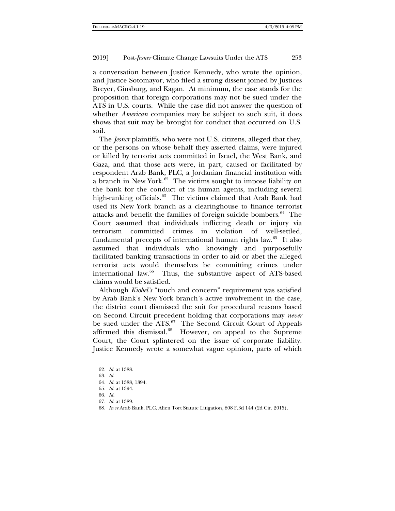a conversation between Justice Kennedy, who wrote the opinion, and Justice Sotomayor, who filed a strong dissent joined by Justices Breyer, Ginsburg, and Kagan. At minimum, the case stands for the proposition that foreign corporations may not be sued under the ATS in U.S. courts. While the case did not answer the question of whether *American* companies may be subject to such suit, it does shows that suit may be brought for conduct that occurred on U.S. soil.

The *Jesner* plaintiffs, who were not U.S. citizens, alleged that they, or the persons on whose behalf they asserted claims, were injured or killed by terrorist acts committed in Israel, the West Bank, and Gaza, and that those acts were, in part, caused or facilitated by respondent Arab Bank, PLC, a Jordanian financial institution with a branch in New York.<sup>[62](#page-12-0)</sup> The victims sought to impose liability on the bank for the conduct of its human agents, including several high-ranking officials.<sup>[63](#page-12-1)</sup> The victims claimed that Arab Bank had used its New York branch as a clearinghouse to finance terrorist attacks and benefit the families of foreign suicide bombers.<sup>[64](#page-12-2)</sup> The Court assumed that individuals inflicting death or injury via terrorism committed crimes in violation of well-settled, fundamental precepts of international human rights law. $65$  It also assumed that individuals who knowingly and purposefully facilitated banking transactions in order to aid or abet the alleged terrorist acts would themselves be committing crimes under international law.<sup>66</sup> Thus, the substantive aspect of ATS-based claims would be satisfied.

Although *Kiobel's* "touch and concern" requirement was satisfied by Arab Bank's New York branch's active involvement in the case, the district court dismissed the suit for procedural reasons based on Second Circuit precedent holding that corporations may *never* be sued under the ATS.<sup>67</sup> The Second Circuit Court of Appeals affirmed this dismissal. $68$  However, on appeal to the Supreme Court, the Court splintered on the issue of corporate liability. Justice Kennedy wrote a somewhat vague opinion, parts of which

<span id="page-12-3"></span><span id="page-12-2"></span><span id="page-12-1"></span><span id="page-12-0"></span>*. Id*. at 1388. 63*. Id*. *. Id*. at 1388, 1394. *. Id*. at 1394. 66*. Id*. *. Id*. at 1389.

<span id="page-12-6"></span><span id="page-12-5"></span><span id="page-12-4"></span>68*. In re* Arab Bank, PLC, Alien Tort Statute Litigation, 808 F.3d 144 (2d Cir. 2015).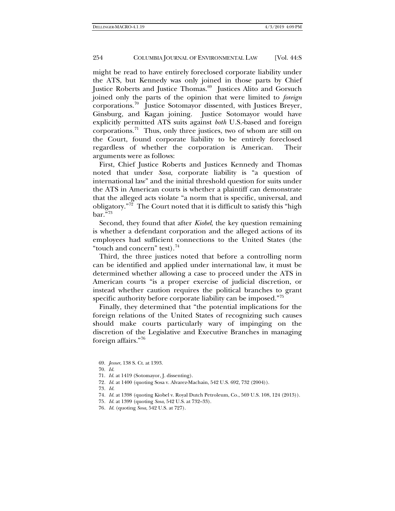might be read to have entirely foreclosed corporate liability under the ATS, but Kennedy was only joined in those parts by Chief Justice Roberts and Justice Thomas.<sup>[69](#page-13-0)</sup> Justices Alito and Gorsuch joined only the parts of the opinion that were limited to *foreign* corporations.[70](#page-13-1) Justice Sotomayor dissented, with Justices Breyer, Ginsburg, and Kagan joining. Justice Sotomayor would have explicitly permitted ATS suits against *both* U.S.-based and foreign corporations.<sup>[71](#page-13-2)</sup> Thus, only three justices, two of whom are still on the Court, found corporate liability to be entirely foreclosed regardless of whether the corporation is American. Their arguments were as follows:

First, Chief Justice Roberts and Justices Kennedy and Thomas noted that under *Sosa*, corporate liability is "a question of international law" and the initial threshold question for suits under the ATS in American courts is whether a plaintiff can demonstrate that the alleged acts violate "a norm that is specific, universal, and obligatory."<sup>72</sup> The Court noted that it is difficult to satisfy this "high  $bar \$ {[73](#page-13-4)}

Second, they found that after *Kiobel*, the key question remaining is whether a defendant corporation and the alleged actions of its employees had sufficient connections to the United States (the "touch and concern" test). [74](#page-13-5)

Third, the three justices noted that before a controlling norm can be identified and applied under international law, it must be determined whether allowing a case to proceed under the ATS in American courts "is a proper exercise of judicial discretion, or instead whether caution requires the political branches to grant specific authority before corporate liability can be imposed."<sup>[75](#page-13-6)</sup>

Finally, they determined that "the potential implications for the foreign relations of the United States of recognizing such causes should make courts particularly wary of impinging on the discretion of the Legislative and Executive Branches in managing foreign affairs."[76](#page-13-7)

70. *Id*.

- <span id="page-13-3"></span>72*. Id*. at 1400 (quoting Sosa v. Alvarez-Machain, 542 U.S. 692, 732 (2004)).
- <span id="page-13-4"></span>73*. Id*.
- <span id="page-13-5"></span>74*. Id*. at 1398 (quoting Kiobel v. Royal Dutch Petroleum, Co., 569 U.S. 108, 124 (2013)).
- <span id="page-13-6"></span>75*. Id*. at 1399 (quoting *Sosa*, 542 U.S. at 732–33).
- <span id="page-13-7"></span>76*. Id*. (quoting *Sosa*, 542 U.S. at 727).

<span id="page-13-1"></span><span id="page-13-0"></span><sup>69.</sup> *Jesner*, 138 S. Ct. at 1393.

<span id="page-13-2"></span><sup>71.</sup> *Id*. at 1419 (Sotomayor, J. dissenting).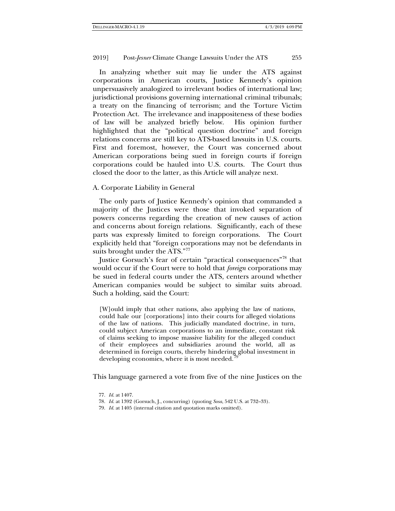In analyzing whether suit may lie under the ATS against corporations in American courts, Justice Kennedy's opinion unpersuasively analogized to irrelevant bodies of international law; jurisdictional provisions governing international criminal tribunals; a treaty on the financing of terrorism; and the Torture Victim Protection Act. The irrelevance and inappositeness of these bodies of law will be analyzed briefly below. His opinion further highlighted that the "political question doctrine" and foreign relations concerns are still key to ATS-based lawsuits in U.S. courts. First and foremost, however, the Court was concerned about American corporations being sued in foreign courts if foreign corporations could be hauled into U.S. courts. The Court thus closed the door to the latter, as this Article will analyze next.

# A. Corporate Liability in General

The only parts of Justice Kennedy's opinion that commanded a majority of the Justices were those that invoked separation of powers concerns regarding the creation of new causes of action and concerns about foreign relations. Significantly, each of these parts was expressly limited to foreign corporations. The Court explicitly held that "foreign corporations may not be defendants in suits brought under the ATS."<sup>[77](#page-14-0)</sup>

Justice Gorsuch's fear of certain "practical consequences"[78](#page-14-1) that would occur if the Court were to hold that *foreign* corporations may be sued in federal courts under the ATS, centers around whether American companies would be subject to similar suits abroad. Such a holding, said the Court:

[W]ould imply that other nations, also applying the law of nations, could hale our [corporations] into their courts for alleged violations of the law of nations. This judicially mandated doctrine, in turn, could subject American corporations to an immediate, constant risk of claims seeking to impose massive liability for the alleged conduct of their employees and subsidiaries around the world, all as determined in foreign courts, thereby hindering global investment in developing economies, where it is most needed. $^7$ 

<span id="page-14-2"></span><span id="page-14-1"></span><span id="page-14-0"></span>This language garnered a vote from five of the nine Justices on the

<sup>77.</sup> *Id*. at 1407.

<sup>78.</sup> *Id*. at 1392 (Gorsuch, J., concurring) (quoting *Sosa*, 542 U.S. at 732–33).

<sup>79.</sup> *Id*. at 1405 (internal citation and quotation marks omitted).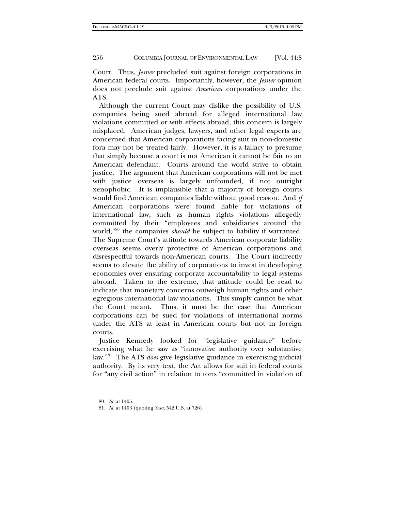Court. Thus, *Jesner* precluded suit against foreign corporations in American federal courts. Importantly, however, the *Jesner* opinion does not preclude suit against *American* corporations under the ATS.

Although the current Court may dislike the possibility of U.S. companies being sued abroad for alleged international law violations committed or with effects abroad, this concern is largely misplaced. American judges, lawyers, and other legal experts are concerned that American corporations facing suit in non-domestic fora may not be treated fairly. However, it is a fallacy to presume that simply because a court is not American it cannot be fair to an American defendant. Courts around the world strive to obtain justice. The argument that American corporations will not be met with justice overseas is largely unfounded, if not outright xenophobic. It is implausible that a majority of foreign courts would find American companies liable without good reason. And *if* American corporations were found liable for violations of international law, such as human rights violations allegedly committed by their "employees and subsidiaries around the world,"[80](#page-15-0) the companies *should* be subject to liability if warranted. The Supreme Court's attitude towards American corporate liability overseas seems overly protective of American corporations and disrespectful towards non-American courts. The Court indirectly seems to elevate the ability of corporations to invest in developing economies over ensuring corporate accountability to legal systems abroad. Taken to the extreme, that attitude could be read to indicate that monetary concerns outweigh human rights and other egregious international law violations. This simply cannot be what the Court meant. Thus, it must be the case that American corporations can be sued for violations of international norms under the ATS at least in American courts but not in foreign courts.

Justice Kennedy looked for "legislative guidance" before exercising what he saw as "innovative authority over substantive law."[81](#page-15-1) The ATS *does* give legislative guidance in exercising judicial authority. By its very text, the Act allows for suit in federal courts for "any civil action" in relation to torts "committed in violation of

<span id="page-15-1"></span><span id="page-15-0"></span><sup>80</sup>*. Id*. at 1405.

<sup>81</sup>*. Id*. at 1403 (quoting *Sosa*, 542 U.S. at 726).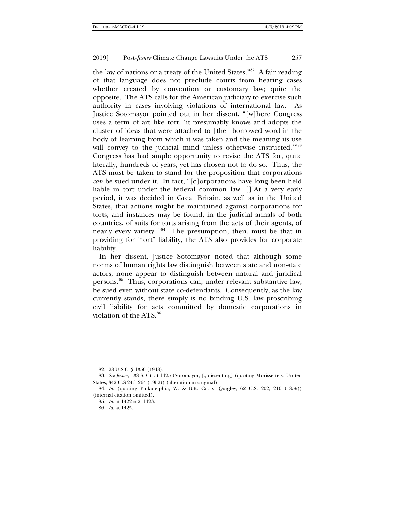the law of nations or a treaty of the United States."[82](#page-16-0) A fair reading of that language does not preclude courts from hearing cases whether created by convention or customary law; quite the opposite. The ATS calls for the American judiciary to exercise such authority in cases involving violations of international law. As Justice Sotomayor pointed out in her dissent, "[w]here Congress uses a term of art like tort, 'it presumably knows and adopts the cluster of ideas that were attached to [the] borrowed word in the body of learning from which it was taken and the meaning its use will convey to the judicial mind unless otherwise instructed.'"[83](#page-16-1) Congress has had ample opportunity to revise the ATS for, quite literally, hundreds of years, yet has chosen not to do so. Thus, the ATS must be taken to stand for the proposition that corporations *can* be sued under it. In fact, "[c]orporations have long been held liable in tort under the federal common law. []'At a very early period, it was decided in Great Britain, as well as in the United States, that actions might be maintained against corporations for torts; and instances may be found, in the judicial annals of both countries, of suits for torts arising from the acts of their agents, of nearly every variety.'"[84](#page-16-2) The presumption, then, must be that in providing for "tort" liability, the ATS also provides for corporate liability.

In her dissent, Justice Sotomayor noted that although some norms of human rights law distinguish between state and non-state actors, none appear to distinguish between natural and juridical persons.[85](#page-16-3) Thus, corporations can, under relevant substantive law, be sued even without state co-defendants. Consequently, as the law currently stands, there simply is no binding U.S. law proscribing civil liability for acts committed by domestic corporations in violation of the ATS.[86](#page-16-4)

85. *Id*. at 1422 n.2, 1423.

86. *Id*. at 1425.

<sup>82.</sup> 28 U.S.C. § 1350 (1948).

<span id="page-16-2"></span><span id="page-16-1"></span><span id="page-16-0"></span><sup>83.</sup> *See Jesner*, 138 S. Ct. at 1425 (Sotomayor, J., dissenting) (quoting Morissette v. United States, 342 U.S 246, 264 (1952)) (alteration in original).

<span id="page-16-4"></span><span id="page-16-3"></span><sup>84.</sup> *Id*. (quoting Philadelphia, W. & B.R. Co. v. Quigley, 62 U.S. 202, 210 (1859)) (internal citation omitted).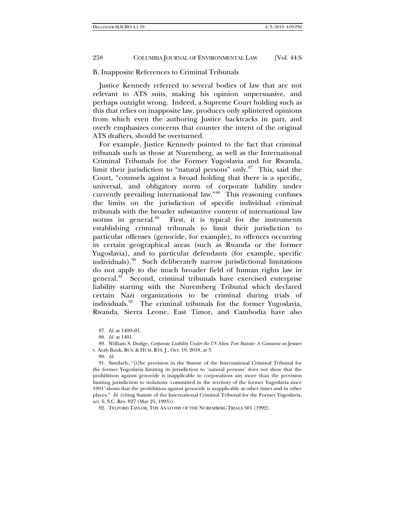## B. Inapposite References to Criminal Tribunals

Justice Kennedy referred to several bodies of law that are not relevant to ATS suits, making his opinion unpersuasive, and perhaps outright wrong. Indeed, a Supreme Court holding such as this that relies on inapposite law, produces only splintered opinions from which even the authoring Justice backtracks in part, and overly emphasizes concerns that counter the intent of the original ATS drafters, should be overturned.

<span id="page-17-6"></span>For example, Justice Kennedy pointed to the fact that criminal tribunals such as those at Nuremberg, as well as the International Criminal Tribunals for the Former Yugoslavia and for Rwanda, limit their jurisdiction to "natural persons" only. $87$  This, said the Court, "counsels against a broad holding that there is a specific, universal, and obligatory norm of corporate liability under currently prevailing international law."[88](#page-17-1) This reasoning confuses the limits on the jurisdiction of specific individual criminal tribunals with the broader substantive content of international law norms in general.<sup>89</sup> First, it is typical for the instruments establishing criminal tribunals to limit their jurisdiction to particular offenses (genocide, for example), to offences occurring in certain geographical areas (such as Rwanda or the former Yugoslavia), and to particular defendants (for example, specific individuals).[90](#page-17-3) Such deliberately narrow jurisdictional limitations do not apply to the much broader field of human rights law in general.<sup>91</sup> Second, criminal tribunals have exercised enterprise liability starting with the Nuremberg Tribunal which declared certain Nazi organizations to be criminal during trials of individuals.[92](#page-17-5) The criminal tribunals for the former Yugoslavia, Rwanda, Sierra Leone, East Timor, and Cambodia have also

<span id="page-17-5"></span>92. TELFORD TAYLOR, THE ANATOMY OF THE NUREMBERG TRIALS 501 (1992).

<sup>87.</sup> *Id*. at 1400–01.

<sup>88.</sup> *Id*. at 1401.

<span id="page-17-2"></span><span id="page-17-1"></span><span id="page-17-0"></span><sup>89.</sup> William S. Dodge, *Corporate Liability Under the US Alien Tort Statute: A Comment on* Jesner v. Arab Bank, BUS. & HUM. RTS. J., Oct. 19, 2018, at 3.

<sup>90.</sup> *Id*.

<span id="page-17-4"></span><span id="page-17-3"></span><sup>91.</sup> Similarly, "[t]he provision in the Statute of the International Criminal Tribunal for the former Yugoslavia limiting its jurisdiction to 'natural persons' does not show that the prohibition against genocide is inapplicable to corporations any more than the provision limiting jurisdiction to violations 'committed in the territory of the former Yugoslavia since 1991' shows that the prohibition against genocide is inapplicable at other times and in other places." *Id*. (citing Statute of the International Criminal Tribunal for the Former Yugoslavia, art. 6, S.C. Res. 827 (May 25, 1993)).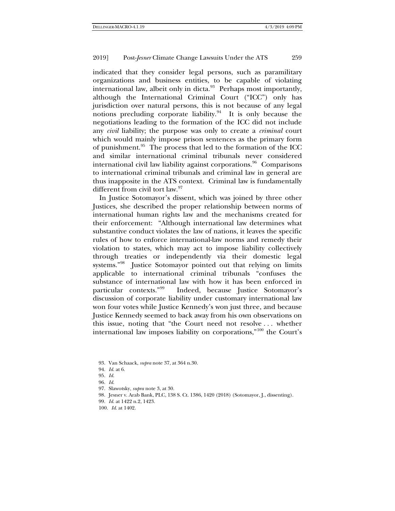indicated that they consider legal persons, such as paramilitary organizations and business entities, to be capable of violating international law, albeit only in dicta. $93$  Perhaps most importantly, although the International Criminal Court ("ICC") only has jurisdiction over natural persons, this is not because of any legal notions precluding corporate liability. $94$  It is only because the negotiations leading to the formation of the ICC did not include any *civil* liability; the purpose was only to create a *criminal* court which would mainly impose prison sentences as the primary form of punishment[.95](#page-18-2) The process that led to the formation of the ICC and similar international criminal tribunals never considered international civil law liability against corporations.<sup>[96](#page-18-3)</sup> Comparisons to international criminal tribunals and criminal law in general are thus inapposite in the ATS context. Criminal law is fundamentally different from civil tort law.<sup>[97](#page-18-4)</sup>

In Justice Sotomayor's dissent, which was joined by three other Justices, she described the proper relationship between norms of international human rights law and the mechanisms created for their enforcement: "Although international law determines what substantive conduct violates the law of nations, it leaves the specific rules of how to enforce international-law norms and remedy their violation to states, which may act to impose liability collectively through treaties or independently via their domestic legal systems."[98](#page-18-5) Justice Sotomayor pointed out that relying on limits applicable to international criminal tribunals "confuses the substance of international law with how it has been enforced in particular contexts."[99](#page-18-6) Indeed, because Justice Sotomayor's discussion of corporate liability under customary international law won four votes while Justice Kennedy's won just three, and because Justice Kennedy seemed to back away from his own observations on this issue, noting that "the Court need not resolve . . . whether international law imposes liability on corporations,"[100](#page-18-7) the Court's

- <span id="page-18-5"></span><span id="page-18-4"></span>97. Slawotsky, *supra* not[e 3,](#page-1-3) at 30.
- 98. Jesner v. Arab Bank, PLC, 138 S. Ct. 1386, 1420 (2018) (Sotomayor, J., dissenting).
- <span id="page-18-6"></span>99. *Id*. at 1422 n.2, 1423.
- <span id="page-18-7"></span>100. *Id*. at 1402.

<span id="page-18-0"></span><sup>93.</sup> Van Schaack, *supra* not[e 37,](#page-7-8) at 364 n.30.

<span id="page-18-1"></span><sup>94.</sup> *Id*. at 6.

<span id="page-18-3"></span><span id="page-18-2"></span><sup>95.</sup> *Id*.

<sup>96.</sup> *Id*.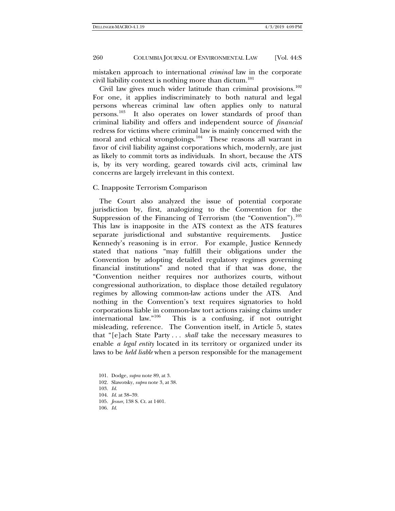mistaken approach to international *criminal* law in the corporate civil liability context is nothing more than dictum.<sup>[101](#page-19-0)</sup>

Civil law gives much wider latitude than criminal provisions. $102$ For one, it applies indiscriminately to both natural and legal persons whereas criminal law often applies only to natural persons.[103](#page-19-2) It also operates on lower standards of proof than criminal liability and offers and independent source of *financial* redress for victims where criminal law is mainly concerned with the moral and ethical wrongdoings.<sup>104</sup> These reasons all warrant in favor of civil liability against corporations which, modernly, are just as likely to commit torts as individuals. In short, because the ATS is, by its very wording, geared towards civil acts, criminal law concerns are largely irrelevant in this context.

C. Inapposite Terrorism Comparison

The Court also analyzed the issue of potential corporate jurisdiction by, first, analogizing to the Convention for the Suppression of the Financing of Terrorism (the "Convention").<sup>[105](#page-19-4)</sup> This law is inapposite in the ATS context as the ATS features separate jurisdictional and substantive requirements. Justice Kennedy's reasoning is in error. For example, Justice Kennedy stated that nations "may fulfill their obligations under the Convention by adopting detailed regulatory regimes governing financial institutions" and noted that if that was done, the "Convention neither requires nor authorizes courts, without congressional authorization, to displace those detailed regulatory regimes by allowing common-law actions under the ATS. And nothing in the Convention's text requires signatories to hold corporations liable in common-law tort actions raising claims under international law."[106](#page-19-5) This is a confusing, if not outright misleading, reference. The Convention itself, in Article 5, states that "[e]ach State Party . . . *shall* take the necessary measures to enable *a legal entity* located in its territory or organized under its laws to be *held liable* when a person responsible for the management

- <span id="page-19-0"></span>101. Dodge, *supra* not[e 89,](#page-17-6) at 3.
- 102. Slawotsky, *supra* not[e 3,](#page-1-3) at 38.
- <span id="page-19-3"></span><span id="page-19-2"></span><span id="page-19-1"></span>103. *Id*.
- 104. *Id*. at 38–39.
- 105. *Jesner*, 138 S. Ct. at 1401.
- <span id="page-19-5"></span><span id="page-19-4"></span>106. *Id*.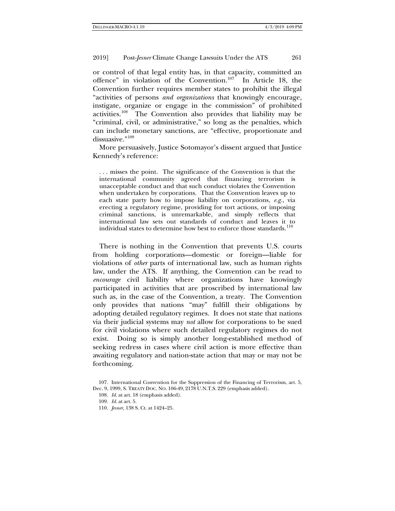<span id="page-20-4"></span>or control of that legal entity has, in that capacity, committed an offence" in violation of the Convention.[107](#page-20-0) In Article 18, the Convention further requires member states to prohibit the illegal "activities of persons *and organizations* that knowingly encourage, instigate, organize or engage in the commission" of prohibited activities.[108](#page-20-1) The Convention also provides that liability may be "criminal, civil, or administrative," so long as the penalties, which can include monetary sanctions, are "effective, proportionate and dissuasive<sup>"[109](#page-20-2)</sup>

More persuasively, Justice Sotomayor's dissent argued that Justice Kennedy's reference:

. . . misses the point. The significance of the Convention is that the international community agreed that financing terrorism is unacceptable conduct and that such conduct violates the Convention when undertaken by corporations. That the Convention leaves up to each state party how to impose liability on corporations, *e.g.*, via erecting a regulatory regime, providing for tort actions, or imposing criminal sanctions, is unremarkable, and simply reflects that international law sets out standards of conduct and leaves it to individual states to determine how best to enforce those standards.<sup>[110](#page-20-3)</sup>

There is nothing in the Convention that prevents U.S. courts from holding corporations—domestic or foreign—liable for violations of *other* parts of international law, such as human rights law, under the ATS. If anything, the Convention can be read to *encourage* civil liability where organizations have knowingly participated in activities that are proscribed by international law such as, in the case of the Convention, a treaty. The Convention only provides that nations "may" fulfill their obligations by adopting detailed regulatory regimes. It does not state that nations via their judicial systems may *not* allow for corporations to be sued for civil violations where such detailed regulatory regimes do not exist. Doing so is simply another long-established method of seeking redress in cases where civil action is more effective than awaiting regulatory and nation-state action that may or may not be forthcoming.

<span id="page-20-3"></span><span id="page-20-2"></span><span id="page-20-1"></span><span id="page-20-0"></span><sup>107.</sup> International Convention for the Suppression of the Financing of Terrorism, art. 5, Dec. 9, 1999, S. TREATY DOC. NO. 106-49, 2178 U.N.T.S. 229 (emphasis added).

<sup>108.</sup> *Id*. at art. 18 (emphasis added).

<sup>109.</sup> *Id*. at art. 5.

<sup>110.</sup> *Jesner,* 138 S. Ct. at 1424–25.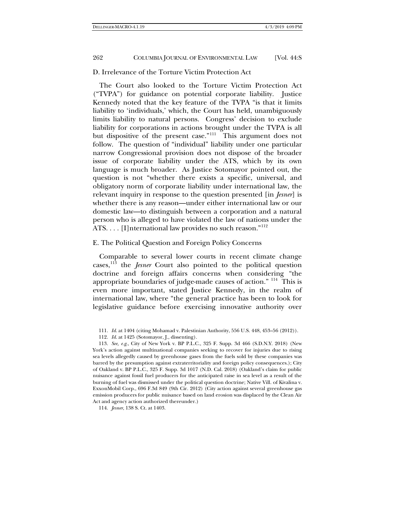# D. Irrelevance of the Torture Victim Protection Act

The Court also looked to the Torture Victim Protection Act ("TVPA") for guidance on potential corporate liability. Justice Kennedy noted that the key feature of the TVPA "is that it limits liability to 'individuals,' which, the Court has held, unambiguously limits liability to natural persons. Congress' decision to exclude liability for corporations in actions brought under the TVPA is all but dispositive of the present case."<sup>[111](#page-21-0)</sup> This argument does not follow. The question of "individual" liability under one particular narrow Congressional provision does not dispose of the broader issue of corporate liability under the ATS, which by its own language is much broader. As Justice Sotomayor pointed out, the question is not "whether there exists a specific, universal, and obligatory norm of corporate liability under international law, the relevant inquiry in response to the question presented [in *Jesner*] is whether there is any reason—under either international law or our domestic law—to distinguish between a corporation and a natural person who is alleged to have violated the law of nations under the ATS. . . . [I]nternational law provides no such reason."[112](#page-21-1)

## E. The Political Question and Foreign Policy Concerns

Comparable to several lower courts in recent climate change cases,[113](#page-21-2) the *Jesner* Court also pointed to the political question doctrine and foreign affairs concerns when considering "the appropriate boundaries of judge-made causes of action." [114](#page-21-3) This is even more important, stated Justice Kennedy, in the realm of international law, where "the general practice has been to look for legislative guidance before exercising innovative authority over

<span id="page-21-2"></span><span id="page-21-1"></span><span id="page-21-0"></span>113. *See, e.g*., City of New York v. BP P.L.C., 325 F. Supp. 3d 466 (S.D.N.Y. 2018) (New York's action against multinational companies seeking to recover for injuries due to rising sea levels allegedly caused by greenhouse gases from the fuels sold by these companies was barred by the presumption against extraterritoriality and foreign policy consequences.); City of Oakland v. BP P.L.C., 325 F. Supp. 3d 1017 (N.D. Cal. 2018) (Oakland's claim for public nuisance against fossil fuel producers for the anticipated raise in sea level as a result of the burning of fuel was dismissed under the political question doctrine; Native Vill. of Kivalina v. ExxonMobil Corp., 696 F.3d 849 (9th Cir. 2012) (City action against several greenhouse gas emission producers for public nuisance based on land erosion was displaced by the Clean Air Act and agency action authorized thereunder.)

<sup>111.</sup> *Id*. at 1404 (citing Mohamad v. Palestinian Authority, 556 U.S. 448, 453–56 (2012)).

<sup>112.</sup> *Id*. at 1425 (Sotomayor, J., dissenting).

<span id="page-21-3"></span><sup>114.</sup> *Jesner*, 138 S. Ct. at 1403.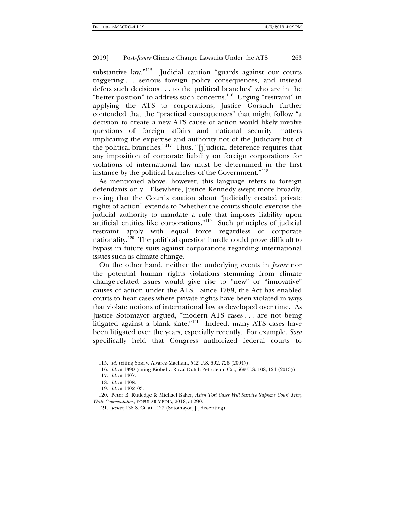substantive law."<sup>[115](#page-22-0)</sup> Judicial caution "guards against our courts" triggering . . . serious foreign policy consequences, and instead defers such decisions . . . to the political branches" who are in the "better position" to address such concerns.[116](#page-22-1) Urging "restraint" in applying the ATS to corporations, Justice Gorsuch further contended that the "practical consequences" that might follow "a decision to create a new ATS cause of action would likely involve questions of foreign affairs and national security—matters implicating the expertise and authority not of the Judiciary but of the political branches."[117](#page-22-2) Thus, "[j]udicial deference requires that any imposition of corporate liability on foreign corporations for violations of international law must be determined in the first instance by the political branches of the Government."[118](#page-22-3)

As mentioned above, however, this language refers to foreign defendants only. Elsewhere, Justice Kennedy swept more broadly, noting that the Court's caution about "judicially created private rights of action" extends to "whether the courts should exercise the judicial authority to mandate a rule that imposes liability upon artificial entities like corporations.["119](#page-22-4) Such principles of judicial restraint apply with equal force regardless of corporate nationality.<sup>[120](#page-22-5)</sup> The political question hurdle could prove difficult to bypass in future suits against corporations regarding international issues such as climate change.

<span id="page-22-7"></span>On the other hand, neither the underlying events in *Jesner* nor the potential human rights violations stemming from climate change-related issues would give rise to "new" or "innovative" causes of action under the ATS. Since 1789, the Act has enabled courts to hear cases where private rights have been violated in ways that violate notions of international law as developed over time. As Justice Sotomayor argued, "modern ATS cases . . . are not being litigated against a blank slate."<sup>[121](#page-22-6)</sup> Indeed, many ATS cases have been litigated over the years, especially recently. For example, *Sosa* specifically held that Congress authorized federal courts to

<span id="page-22-0"></span>115. *Id*. (citing Sosa v. Alvarez-Machain, 542 U.S. 692, 726 (2004)).

116. *Id*. at 1390 (citing Kiobel v. Royal Dutch Petroleum Co., 569 U.S. 108, 124 (2013)).

119. *Id*. at 1402–03.

<span id="page-22-6"></span><span id="page-22-5"></span><span id="page-22-4"></span><span id="page-22-3"></span><span id="page-22-2"></span><span id="page-22-1"></span>120. Peter B. Rutledge & Michael Baker, *Alien Tort Cases Will Survive Supreme Court Trim, Write Commentators*, POPULAR MEDIA, 2018, at 290.

121. *Jesner*, 138 S. Ct. at 1427 (Sotomayor, J., dissenting).

<sup>117.</sup> *Id*. at 1407.

<sup>118.</sup> *Id*. at 1408.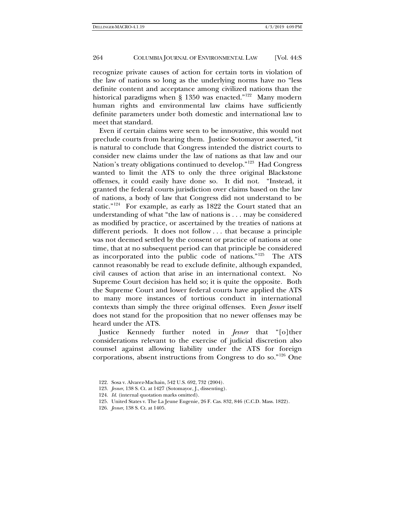recognize private causes of action for certain torts in violation of the law of nations so long as the underlying norms have no "less definite content and acceptance among civilized nations than the historical paradigms when § 1350 was enacted."<sup>[122](#page-23-0)</sup> Many modern human rights and environmental law claims have sufficiently definite parameters under both domestic and international law to meet that standard.

Even if certain claims were seen to be innovative, this would not preclude courts from hearing them. Justice Sotomayor asserted, "it is natural to conclude that Congress intended the district courts to consider new claims under the law of nations as that law and our Nation's treaty obligations continued to develop."[123](#page-23-1) Had Congress wanted to limit the ATS to only the three original Blackstone offenses, it could easily have done so. It did not. "Instead, it granted the federal courts jurisdiction over claims based on the law of nations, a body of law that Congress did not understand to be static."[124](#page-23-2) For example, as early as 1822 the Court stated that an understanding of what "the law of nations is . . . may be considered as modified by practice, or ascertained by the treaties of nations at different periods. It does not follow . . . that because a principle was not deemed settled by the consent or practice of nations at one time, that at no subsequent period can that principle be considered as incorporated into the public code of nations."[125](#page-23-3) The ATS cannot reasonably be read to exclude definite, although expanded, civil causes of action that arise in an international context. No Supreme Court decision has held so; it is quite the opposite. Both the Supreme Court and lower federal courts have applied the ATS to many more instances of tortious conduct in international contexts than simply the three original offenses. Even *Jesner* itself does not stand for the proposition that no newer offenses may be heard under the ATS.

Justice Kennedy further noted in *Jesner* that "[o]ther considerations relevant to the exercise of judicial discretion also counsel against allowing liability under the ATS for foreign corporations, absent instructions from Congress to do so."[126](#page-23-4) One

<span id="page-23-0"></span><sup>122.</sup> Sosa v. Alvarez-Machain, 542 U.S. 692, 732 (2004).

<span id="page-23-1"></span><sup>123.</sup> *Jesner*, 138 S. Ct. at 1427 (Sotomayor, J., dissenting).

<span id="page-23-2"></span><sup>124.</sup> *Id*. (internal quotation marks omitted).

<span id="page-23-3"></span><sup>125.</sup> United States v. The La Jeune Eugenie, 26 F. Cas. 832, 846 (C.C.D. Mass. 1822).

<span id="page-23-4"></span><sup>126.</sup> *Jesner*, 138 S. Ct. at 1405.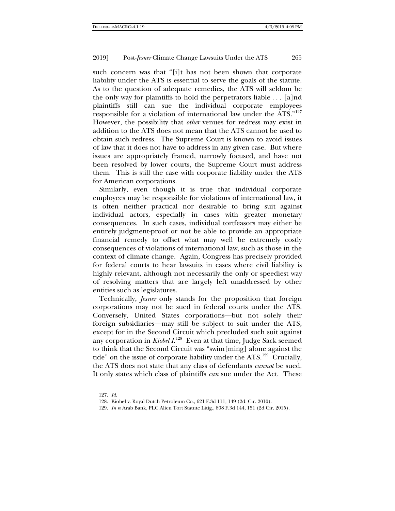such concern was that "[i]t has not been shown that corporate liability under the ATS is essential to serve the goals of the statute. As to the question of adequate remedies, the ATS will seldom be the only way for plaintiffs to hold the perpetrators liable . . . [a]nd plaintiffs still can sue the individual corporate employees responsible for a violation of international law under the ATS."[127](#page-24-0) However, the possibility that *other* venues for redress may exist in addition to the ATS does not mean that the ATS cannot be used to obtain such redress. The Supreme Court is known to avoid issues of law that it does not have to address in any given case. But where issues are appropriately framed, narrowly focused, and have not been resolved by lower courts, the Supreme Court must address them. This is still the case with corporate liability under the ATS for American corporations.

Similarly, even though it is true that individual corporate employees may be responsible for violations of international law, it is often neither practical nor desirable to bring suit against individual actors, especially in cases with greater monetary consequences. In such cases, individual tortfeasors may either be entirely judgment-proof or not be able to provide an appropriate financial remedy to offset what may well be extremely costly consequences of violations of international law, such as those in the context of climate change. Again, Congress has precisely provided for federal courts to hear lawsuits in cases where civil liability is highly relevant, although not necessarily the only or speediest way of resolving matters that are largely left unaddressed by other entities such as legislatures.

Technically, *Jesner* only stands for the proposition that foreign corporations may not be sued in federal courts under the ATS. Conversely, United States corporations—but not solely their foreign subsidiaries—may still be subject to suit under the ATS, except for in the Second Circuit which precluded such suit against any corporation in *Kiobel I*. [128](#page-24-1)Even at that time, Judge Sack seemed to think that the Second Circuit was "swim[ming] alone against the tide" on the issue of corporate liability under the  $ATS$ .<sup>129</sup> Crucially, the ATS does not state that any class of defendants *cannot* be sued. It only states which class of plaintiffs *can* sue under the Act. These

<span id="page-24-0"></span>127. *Id*.

<sup>128.</sup> Kiobel v. Royal Dutch Petroleum Co., 621 F.3d 111, 149 (2d. Cir. 2010).

<span id="page-24-2"></span><span id="page-24-1"></span><sup>129.</sup> *In re* Arab Bank, PLC Alien Tort Statute Litig., 808 F.3d 144, 151 (2d Cir. 2015).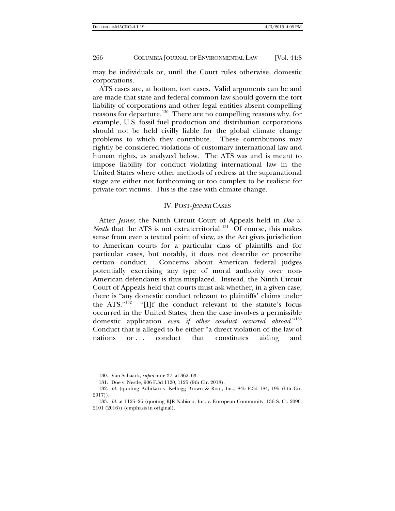may be individuals or, until the Court rules otherwise, domestic corporations.

ATS cases are, at bottom, tort cases. Valid arguments can be and are made that state and federal common law should govern the tort liability of corporations and other legal entities absent compelling reasons for departure.<sup>[130](#page-25-0)</sup> There are no compelling reasons why, for example, U.S. fossil fuel production and distribution corporations should not be held civilly liable for the global climate change problems to which they contribute. These contributions may rightly be considered violations of customary international law and human rights, as analyzed below. The ATS was and is meant to impose liability for conduct violating international law in the United States where other methods of redress at the supranational stage are either not forthcoming or too complex to be realistic for private tort victims. This is the case with climate change.

# IV. POST-*JESNER* CASES

After *Jesner*, the Ninth Circuit Court of Appeals held in *Doe v. Nestle* that the ATS is not extraterritorial.<sup>131</sup> Of course, this makes sense from even a textual point of view, as the Act gives jurisdiction to American courts for a particular class of plaintiffs and for particular cases, but notably, it does not describe or proscribe certain conduct. Concerns about American federal judges potentially exercising any type of moral authority over non-American defendants is thus misplaced. Instead, the Ninth Circuit Court of Appeals held that courts must ask whether, in a given case, there is "any domestic conduct relevant to plaintiffs' claims under<br>the ATS."<sup>132</sup> "[I]f the conduct relevant to the statute's focus "[I]f the conduct relevant to the statute's focus occurred in the United States, then the case involves a permissible domestic application *even if other conduct occurred abroad*."[133](#page-25-3) Conduct that is alleged to be either "a direct violation of the law of nations or ... conduct that constitutes aiding and

<sup>130.</sup> Van Schaack, *supra* not[e 37,](#page-7-8) at 362–63.

<sup>131.</sup> Doe v. Nestle*,* 906 F.3d 1120, 1125 (9th Cir. 2018).

<span id="page-25-2"></span><span id="page-25-1"></span><span id="page-25-0"></span><sup>132.</sup> *Id*. (quoting Adhikari v. Kellogg Brown & Root, Inc., 845 F.3d 184, 195 (5th Cir. 2017)).

<span id="page-25-3"></span><sup>133.</sup> *Id*. at 1125–26 (quoting RJR Nabisco, Inc. v. European Community, 136 S. Ct. 2090, 2101 (2016)) (emphasis in original).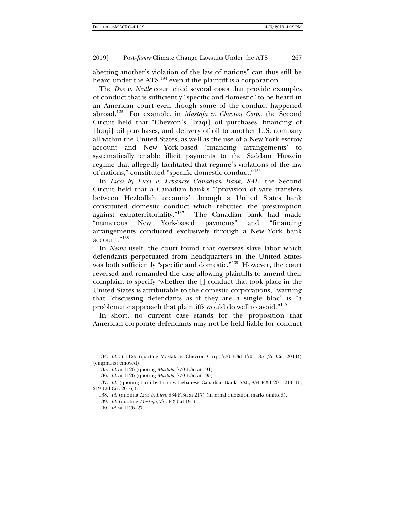abetting another's violation of the law of nations" can thus still be heard under the ATS,<sup>[134](#page-26-0)</sup> even if the plaintiff is a corporation.

The *Doe v. Nestle* court cited several cases that provide examples of conduct that is sufficiently "specific and domestic" to be heard in an American court even though some of the conduct happened abroad.[135](#page-26-1) For example, in *Mastafa v. Chevron Corp.,* the Second Circuit held that "Chevron's [Iraqi] oil purchases, financing of [Iraqi] oil purchases, and delivery of oil to another U.S. company all within the United States, as well as the use of a New York escrow account and New York-based 'financing arrangements' to systematically enable illicit payments to the Saddam Hussein regime that allegedly facilitated that regime's violations of the law of nations," constituted "specific domestic conduct."[136](#page-26-2)

In *Licci by Licci v. Lebanese Canadian Bank, SAL*, the Second Circuit held that a Canadian bank's "'provision of wire transfers between Hezbollah accounts' through a United States bank constituted domestic conduct which rebutted the presumption<br>against extraterritoriality."<sup>137</sup> The Canadian bank had made The Canadian bank had made "numerous New York-based payments" and "financing arrangements conducted exclusively through a New York bank account."[138](#page-26-4)

In *Nestle* itself, the court found that overseas slave labor which defendants perpetuated from headquarters in the United States was both sufficiently "specific and domestic."<sup>[139](#page-26-5)</sup> However, the court reversed and remanded the case allowing plaintiffs to amend their complaint to specify "whether the [] conduct that took place in the United States is attributable to the domestic corporations," warning that "discussing defendants as if they are a single bloc" is "a problematic approach that plaintiffs would do well to avoid."<sup>[140](#page-26-6)</sup>

In short, no current case stands for the proposition that American corporate defendants may not be held liable for conduct

<span id="page-26-0"></span>134. *Id*. at 1125 (quoting Mastafa v. Chevron Corp, 770 F.3d 170, 185 (2d Cir. 2014)) (emphasis removed).

135. *Id*. at 1126 (quoting *Mastafa*, 770 F.3d at 191).

136. *Id*. at 1126 (quoting *Mastafa*, 770 F.3d at 195).

<span id="page-26-6"></span><span id="page-26-5"></span><span id="page-26-4"></span><span id="page-26-3"></span><span id="page-26-2"></span><span id="page-26-1"></span>137. *Id*. (quoting Licci by Licci v. Lebanese Canadian Bank, SAL, 834 F.3d 201, 214–15, 219 (2d Cir. 2016)).

138. *Id*. (quoting *Licci by Licci*, 834 F.3d at 217) (internal quotation marks omitted).

139. *Id*. (quoting *Mastafa*, 770 F.3d at 191).

140. *Id*. at 1126–27.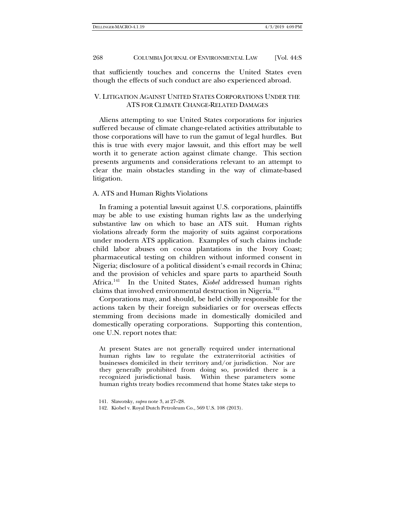that sufficiently touches and concerns the United States even though the effects of such conduct are also experienced abroad.

# V. LITIGATION AGAINST UNITED STATES CORPORATIONS UNDER THE ATS FOR CLIMATE CHANGE-RELATED DAMAGES

Aliens attempting to sue United States corporations for injuries suffered because of climate change-related activities attributable to those corporations will have to run the gamut of legal hurdles. But this is true with every major lawsuit, and this effort may be well worth it to generate action against climate change. This section presents arguments and considerations relevant to an attempt to clear the main obstacles standing in the way of climate-based litigation.

## A. ATS and Human Rights Violations

In framing a potential lawsuit against U.S. corporations, plaintiffs may be able to use existing human rights law as the underlying substantive law on which to base an ATS suit. Human rights violations already form the majority of suits against corporations under modern ATS application. Examples of such claims include child labor abuses on cocoa plantations in the Ivory Coast; pharmaceutical testing on children without informed consent in Nigeria; disclosure of a political dissident's e-mail records in China; and the provision of vehicles and spare parts to apartheid South Africa.[141](#page-27-0) In the United States, *Kiobel* addressed human rights claims that involved environmental destruction in Nigeria.<sup>142</sup>

Corporations may, and should, be held civilly responsible for the actions taken by their foreign subsidiaries or for overseas effects stemming from decisions made in domestically domiciled and domestically operating corporations. Supporting this contention, one U.N. report notes that:

At present States are not generally required under international human rights law to regulate the extraterritorial activities of businesses domiciled in their territory and/or jurisdiction. Nor are they generally prohibited from doing so, provided there is a recognized jurisdictional basis. Within these parameters some human rights treaty bodies recommend that home States take steps to

<span id="page-27-0"></span><sup>141.</sup> Slawotsky, *supra* not[e 3,](#page-1-3) at 27–28.

<span id="page-27-1"></span><sup>142.</sup> Kiobel v. Royal Dutch Petroleum Co., 569 U.S. 108 (2013).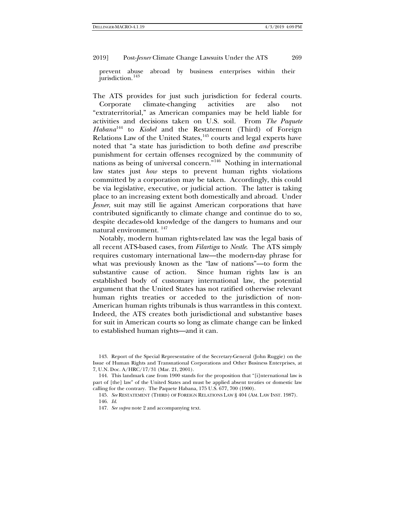prevent abuse abroad by business enterprises within their jurisdiction.<sup>[143](#page-28-0)</sup>

The ATS provides for just such jurisdiction for federal courts. Corporate climate-changing activities are also not "extraterritorial," as American companies may be held liable for activities and decisions taken on U.S. soil. From *The Paquete Habana*[144](#page-28-1) to *Kiobel* and the Restatement (Third) of Foreign Relations Law of the United States,<sup>[145](#page-28-2)</sup> courts and legal experts have noted that "a state has jurisdiction to both define *and* prescribe punishment for certain offenses recognized by the community of nations as being of universal concern."[146](#page-28-3) Nothing in international law states just *how* steps to prevent human rights violations committed by a corporation may be taken. Accordingly, this could be via legislative, executive, or judicial action. The latter is taking place to an increasing extent both domestically and abroad. Under *Jesner*, suit may still lie against American corporations that have contributed significantly to climate change and continue do to so, despite decades-old knowledge of the dangers to humans and our natural environment. [147](#page-28-4)

Notably, modern human rights-related law was the legal basis of all recent ATS-based cases, from *Filartiga* to *Nestle*. The ATS simply requires customary international law—the modern-day phrase for what was previously known as the "law of nations"—to form the substantive cause of action. Since human rights law is an established body of customary international law, the potential argument that the United States has not ratified otherwise relevant human rights treaties or acceded to the jurisdiction of non-American human rights tribunals is thus warrantless in this context. Indeed, the ATS creates both jurisdictional and substantive bases for suit in American courts so long as climate change can be linked to established human rights—and it can.

<span id="page-28-0"></span><sup>143.</sup> Report of the Special Representative of the Secretary-General (John Ruggie) on the Issue of Human Rights and Transnational Corporations and Other Business Enterprises, at 7, U.N. Doc. A/HRC/17/31 (Mar. 21, 2001).

<span id="page-28-4"></span><span id="page-28-3"></span><span id="page-28-2"></span><span id="page-28-1"></span><sup>144.</sup> This landmark case from 1900 stands for the proposition that "[i]nternational law is part of [the] law" of the United States and must be applied absent treaties or domestic law calling for the contrary. The Paquete Habana, 175 U.S. 677, 700 (1900).

<sup>145.</sup> *See* RESTATEMENT (THIRD) OF FOREIGN RELATIONS LAW § 404 (AM. LAW INST. 1987). 146. *Id*.

<sup>147.</sup> *See supra* not[e 2](#page-1-4) and accompanying text.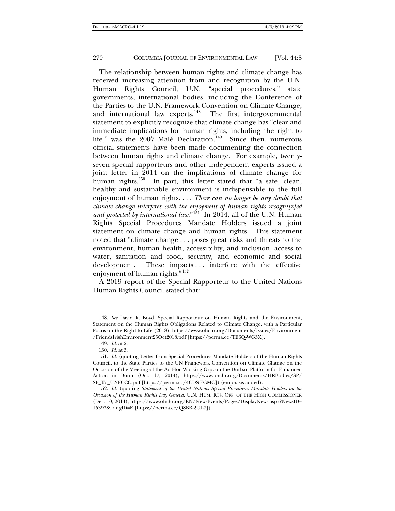<span id="page-29-5"></span>The relationship between human rights and climate change has received increasing attention from and recognition by the U.N.<br>Human Rights Council, U.N. "special procedures," state Human Rights Council, U.N. governments, international bodies, including the Conference of the Parties to the U.N. Framework Convention on Climate Change, and international law experts.<sup>[148](#page-29-0)</sup> The first intergovernmental statement to explicitly recognize that climate change has "clear and immediate implications for human rights, including the right to life," was the  $2007$  Malé Declaration.<sup>[149](#page-29-1)</sup> Since then, numerous official statements have been made documenting the connection between human rights and climate change. For example, twentyseven special rapporteurs and other independent experts issued a joint letter in 2014 on the implications of climate change for human rights.<sup>[150](#page-29-2)</sup> In part, this letter stated that "a safe, clean, healthy and sustainable environment is indispensable to the full enjoyment of human rights. . . . *There can no longer be any doubt that climate change interferes with the enjoyment of human rights recogni[z]ed*  and protected by international law."<sup>151</sup> In 2014, all of the U.N. Human Rights Special Procedures Mandate Holders issued a joint statement on climate change and human rights. This statement noted that "climate change . . . poses great risks and threats to the environment, human health, accessibility, and inclusion, access to water, sanitation and food, security, and economic and social development. These impacts ... interfere with the effective enjoyment of human rights.["152](#page-29-4)

A 2019 report of the Special Rapporteur to the United Nations Human Rights Council stated that:

150. *Id*. at 3.

<span id="page-29-3"></span><span id="page-29-2"></span><span id="page-29-1"></span>151. *Id*. (quoting Letter from Special Procedures Mandate-Holders of the Human Rights Council, to the State Parties to the UN Framework Convention on Climate Change on the Occasion of the Meeting of the Ad Hoc Working Grp. on the Durban Platform for Enhanced Action in Bonn (Oct. 17, 2014), https://www.ohchr.org/Documents/HRBodies/SP/ SP\_To\_UNFCCC.pdf [https://perma.cc/4CDS-EGMC]) (emphasis added).

<span id="page-29-4"></span>152. *Id*. (quoting *Statement of the United Nations Special Procedures Mandate Holders on the Occasion of the Human Rights Day Geneva*, U.N. HUM. RTS. OFF. OF THE HIGH COMMISSIONER (Dec. 10, 2014), https://www.ohchr.org/EN/NewsEvents/Pages/DisplayNews.aspx?NewsID= 15393&LangID=E [https://perma.cc/Q8BB-2UL7]).

<span id="page-29-0"></span><sup>148.</sup> *See* David R. Boyd, Special Rapporteur on Human Rights and the Environment, Statement on the Human Rights Obligations Related to Climate Change, with a Particular Focus on the Right to Life (2018), https://www.ohchr.org/Documents/Issues/Environment /FriendsIrishEnvironment25Oct2018.pdf [https://perma.cc/TE6Q-WG3X].

<sup>149.</sup> *Id*. at 2.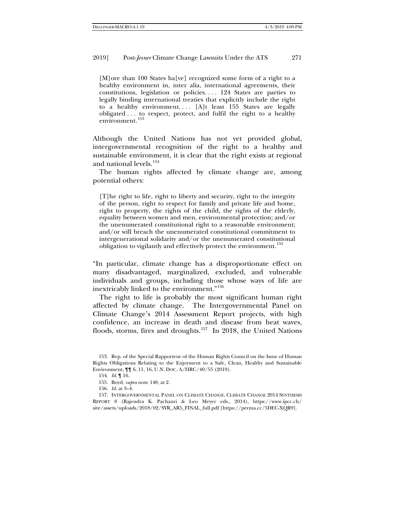[M]ore than 100 States ha[ve] recognized some form of a right to a healthy environment in, inter alia, international agreements, their constitutions, legislation or policies. . . . 124 States are parties to legally binding international treaties that explicitly include the right to a healthy environment.... [A]t least 155 States are legally obligated . . . to respect, protect, and fulfil the right to a healthy environment.[153](#page-30-0)

<span id="page-30-5"></span>Although the United Nations has not yet provided global, intergovernmental recognition of the right to a healthy and sustainable environment, it is clear that the right exists at regional and national levels.[154](#page-30-1)

The human rights affected by climate change are, among potential others:

[T]he right to life, right to liberty and security, right to the integrity of the person, right to respect for family and private life and home, right to property, the rights of the child, the rights of the elderly, equality between women and men, environmental protection; and/or the unenumerated constitutional right to a reasonable environment; and/or will breach the unenumerated constitutional commitment to intergenerational solidarity and/or the unenumerated constitutional obligation to vigilantly and effectively protect the environment.<sup>[155](#page-30-2)</sup>

"In particular, climate change has a disproportionate effect on many disadvantaged, marginalized, excluded, and vulnerable individuals and groups, including those whose ways of life are inextricably linked to the environment."[156](#page-30-3)

The right to life is probably the most significant human right affected by climate change. The Intergovernmental Panel on Climate Change's 2014 Assessment Report projects, with high confidence, an increase in death and disease from heat waves, floods, storms, fires and droughts.<sup>157</sup> In 2018, the United Nations

<span id="page-30-0"></span><sup>153.</sup> Rep. of the Special Rapporteur of the Human Rights Council on the Issue of Human Rights Obligations Relating to the Enjoyment to a Safe, Clean, Healthy and Sustainable Environment, ¶¶ 6, 11, 16, U.N. DOC. A/HRC/40/55 (2019).

<sup>154.</sup> *Id*. ¶ 16.

<sup>155.</sup> Boyd, *supra* not[e 148,](#page-29-5) at 2.

<sup>156.</sup> *Id*. at 3–4.

<span id="page-30-4"></span><span id="page-30-3"></span><span id="page-30-2"></span><span id="page-30-1"></span><sup>157.</sup> INTERGOVERNMENTAL PANEL ON CLIMATE CHANGE, CLIMATE CHANGE 2014 SYNTHESIS REPORT 8 (Rajendra K. Pachauri & Leo Meyer eds., 2014), https://www.ipcc.ch/ site/assets/uploads/2018/02/SYR\_AR5\_FINAL\_full.pdf [https://perma.cc/5DEC-XQR9].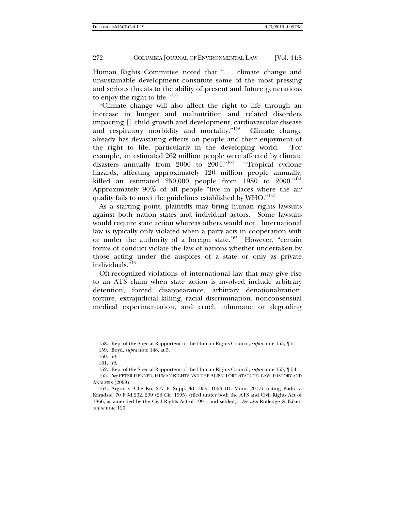Human Rights Committee noted that "... climate change and unsustainable development constitute some of the most pressing and serious threats to the ability of present and future generations to enjoy the right to life."<sup>[158](#page-31-0)</sup>

"Climate change will also affect the right to life through an increase in hunger and malnutrition and related disorders impacting [] child growth and development, cardiovascular disease and respiratory morbidity and mortality."[159](#page-31-1) Climate change already has devastating effects on people and their enjoyment of the right to life, particularly in the developing world. "For example, an estimated 262 million people were affected by climate disasters annually from 2000 to 2004."[160](#page-31-2) "Tropical cyclone hazards, affecting approximately 120 million people annually, killed an estimated  $250,000$  people from  $1980$  to  $2000.^{161}$  $2000.^{161}$  $2000.^{161}$ Approximately 90% of all people "live in places where the air quality fails to meet the guidelines established by WHO."[162](#page-31-4)

As a starting point, plaintiffs may bring human rights lawsuits against both nation states and individual actors. Some lawsuits would require state action whereas others would not. International law is typically only violated when a party acts in cooperation with or under the authority of a foreign state.<sup>[163](#page-31-5)</sup> However, "certain forms of conduct violate the law of nations whether undertaken by those acting under the auspices of a state or only as private individuals."[164](#page-31-6)

Oft-recognized violations of international law that may give rise to an ATS claim when state action is involved include arbitrary detention, forced disappearance, arbitrary denationalization, torture, extrajudicial killing, racial discrimination, nonconsensual medical experimentation, and cruel, inhumane or degrading

158. Rep. of the Special Rapporteur of the Human Rights Council, *supra* not[e 153,](#page-30-5) ¶ 51.

159. Boyd, *supra* not[e 148,](#page-29-5) at 5.

162. Rep. of the Special Rapporteur of the Human Rights Council, *supra* not[e 153,](#page-30-5) ¶ 54.

<span id="page-31-5"></span><span id="page-31-4"></span><span id="page-31-3"></span><span id="page-31-2"></span><span id="page-31-1"></span><span id="page-31-0"></span>163. *See* PETER HENNER, HUMAN RIGHTS AND THE ALIEN TORT STATUTE: LAW, HISTORY AND ANALYSIS (2009).

<span id="page-31-6"></span>164. Argon v. Che Ku, 277 F. Supp. 3d 1055, 1063 (D. Minn. 2017) (citing Kadic v. Karadzic*,* 70 F.3d 232, 239 (2d Cir. 1995) (filed under both the ATS and Civil Rights Act of 1866, as amended by the Civil Rights Act of 1991, and settled). *See also* Rutledge & Baker, *supra* note [120.](#page-22-7)

<sup>160.</sup> *Id*.

<sup>161.</sup> *Id*.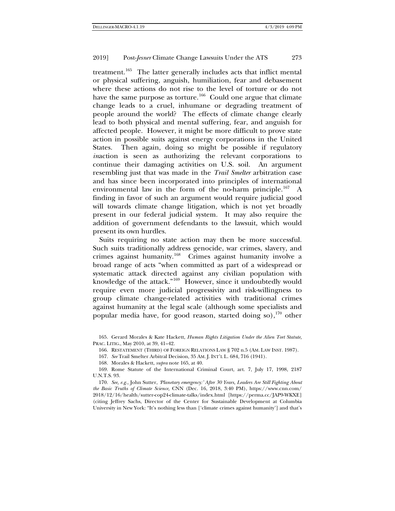<span id="page-32-0"></span>treatment.<sup>165</sup> The latter generally includes acts that inflict mental or physical suffering, anguish, humiliation, fear and debasement where these actions do not rise to the level of torture or do not have the same purpose as torture.<sup>166</sup> Could one argue that climate change leads to a cruel, inhumane or degrading treatment of people around the world? The effects of climate change clearly lead to both physical and mental suffering, fear, and anguish for affected people. However, it might be more difficult to prove state action in possible suits against energy corporations in the United States. Then again, doing so might be possible if regulatory *inaction* is seen as authorizing the relevant corporations to continue their damaging activities on U.S. soil. An argument resembling just that was made in the *Trail Smelter* arbitration case and has since been incorporated into principles of international environmental law in the form of the no-harm principle.[167](#page-32-3) A finding in favor of such an argument would require judicial good will towards climate change litigation, which is not yet broadly present in our federal judicial system. It may also require the addition of government defendants to the lawsuit, which would present its own hurdles.

Suits requiring no state action may then be more successful. Such suits traditionally address genocide, war crimes, slavery, and crimes against humanity.[168](#page-32-4) Crimes against humanity involve a broad range of acts "when committed as part of a widespread or systematic attack directed against any civilian population with knowledge of the attack."[169](#page-32-5) However, since it undoubtedly would require even more judicial progressivity and risk-willingness to group climate change-related activities with traditional crimes against humanity at the legal scale (although some specialists and popular media have, for good reason, started doing so),  $170$  other

<span id="page-32-2"></span><span id="page-32-1"></span>165. Gerard Morales & Kate Hackett, *Human Rights Litigation Under the Alien Tort Statute,*  PRAC. LITIG., May 2010, at 39, 41–42.

166. RESTATEMENT (THIRD) OF FOREIGN RELATIONS LAW § 702 n.5 (AM. LAW INST. 1987).

167. *See* Trail Smelter Arbitral Decision, 35 AM. J. INT'L L. 684, 716 (1941).

168. Morales & Hackett, *supra* not[e 165,](#page-32-0) at 40.

<span id="page-32-5"></span><span id="page-32-4"></span><span id="page-32-3"></span>169. Rome Statute of the International Criminal Court, art. 7, July 17, 1998, 2187 U.N.T.S. 93.

<span id="page-32-6"></span>170. *See, e.g.,* John Sutter, *'Planetary emergency:' After 30 Years, Leaders Are Still Fighting About the Basic Truths of Climate Science,* CNN (Dec. 16, 2018, 3:40 PM), https://www.cnn.com/ 2018/12/16/health/sutter-cop24-climate-talks/index.html [https://perma.cc/JAP9-WKXE] (citing Jeffrey Sachs, Director of the Center for Sustainable Development at Columbia University in New York: "It's nothing less than ['climate crimes against humanity'] and that's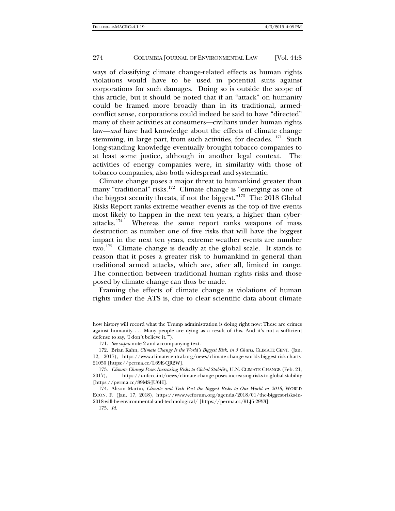ways of classifying climate change-related effects as human rights violations would have to be used in potential suits against corporations for such damages. Doing so is outside the scope of this article, but it should be noted that if an "attack" on humanity could be framed more broadly than in its traditional, armedconflict sense, corporations could indeed be said to have "directed" many of their activities at consumers—civilians under human rights law—*and* have had knowledge about the effects of climate change stemming, in large part, from such activities, for decades.  $171$  Such long-standing knowledge eventually brought tobacco companies to at least some justice, although in another legal context. The activities of energy companies were, in similarity with those of tobacco companies, also both widespread and systematic.

Climate change poses a major threat to humankind greater than many "traditional" risks.<sup>[172](#page-33-1)</sup> Climate change is "emerging as one of the biggest security threats, if not the biggest."<sup>173</sup> The  $2018$  Global Risks Report ranks extreme weather events as the top of five events most likely to happen in the next ten years, a higher than cyber-<br>attacks.<sup>174</sup> Whereas the same report ranks weapons of mass Whereas the same report ranks weapons of mass destruction as number one of five risks that will have the biggest impact in the next ten years, extreme weather events are number two.[175](#page-33-4) Climate change is deadly at the global scale. It stands to reason that it poses a greater risk to humankind in general than traditional armed attacks, which are, after all, limited in range. The connection between traditional human rights risks and those posed by climate change can thus be made.

Framing the effects of climate change as violations of human rights under the ATS is, due to clear scientific data about climate

171. *See supra* not[e 2](#page-1-4) and accompanying text.

175. *Id*.

how history will record what the Trump administration is doing right now: These are crimes against humanity. . . . Many people are dying as a result of this. And it's not a sufficient defense to say, 'I don't believe it.'").

<span id="page-33-1"></span><span id="page-33-0"></span><sup>172.</sup> Brian Kahn, *Climate Change Is the World's Biggest Risk, in 3 Charts*, CLIMATE CENT. (Jan. 12, 2017), https://www.climatecentral.org/news/climate-change-worlds-biggest-risk-charts-21050 [https://perma.cc/L69E-QR2W].

<span id="page-33-2"></span><sup>173</sup>*. Climate Change Poses Increasing Risks to Global Stability*, U.N. CLIMATE CHANGE (Feb. 21, 2017), https://unfccc.int/news/climate-change-poses-increasing-risks-to-global-stability [https://perma.cc/89MS-JU6H].

<span id="page-33-4"></span><span id="page-33-3"></span><sup>174.</sup> Alison Martin, *Climate and Tech Post the Biggest Risks to Our World in 2018*, WORLD ECON. F. (Jan. 17, 2018), https://www.weforum.org/agenda/2018/01/the-biggest-risks-in-2018-will-be-environmental-and-technological/ [https://perma.cc/9LJ6-29Y3].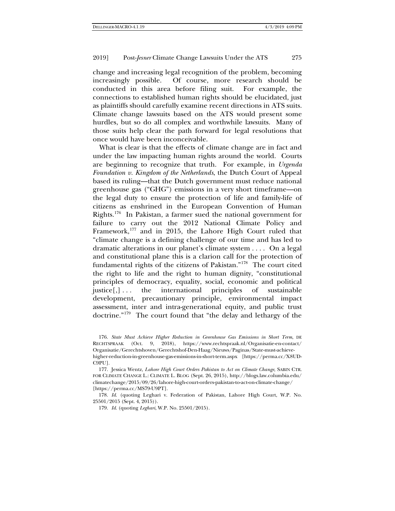change and increasing legal recognition of the problem, becoming increasingly possible. Of course, more research should be conducted in this area before filing suit. For example, the connections to established human rights should be elucidated, just as plaintiffs should carefully examine recent directions in ATS suits. Climate change lawsuits based on the ATS would present some hurdles, but so do all complex and worthwhile lawsuits. Many of those suits help clear the path forward for legal resolutions that once would have been inconceivable.

What is clear is that the effects of climate change are in fact and under the law impacting human rights around the world. Courts are beginning to recognize that truth. For example, in *Urgenda Foundation v. Kingdom of the Netherlands*, the Dutch Court of Appeal based its ruling—that the Dutch government must reduce national greenhouse gas ("GHG") emissions in a very short timeframe—on the legal duty to ensure the protection of life and family-life of citizens as enshrined in the European Convention of Human Rights[.176](#page-34-0) In Pakistan, a farmer sued the national government for failure to carry out the 2012 National Climate Policy and Framework,<sup>[177](#page-34-1)</sup> and in 2015, the Lahore High Court ruled that "climate change is a defining challenge of our time and has led to dramatic alterations in our planet's climate system . . . . On a legal and constitutional plane this is a clarion call for the protection of fundamental rights of the citizens of Pakistan."[178](#page-34-2) The court cited the right to life and the right to human dignity, "constitutional principles of democracy, equality, social, economic and political  $justice[,] \ldots$  the international principles of sustainable development, precautionary principle, environmental impact assessment, inter and intra-generational equity, and public trust doctrine.["179](#page-34-3) The court found that "the delay and lethargy of the

<span id="page-34-1"></span>177. Jessica Wentz, *Lahore High Court Orders Pakistan to Act on Climate Change*, SABIN CTR. FOR CLIMATE CHANGE L.: CLIMATE L. BLOG (Sept. 26, 2015), http://blogs.law.columbia.edu/ climatechange/2015/09/26/lahore-high-court-orders-pakistan-to-act-on-climate-change/ [https://perma.cc/MS79-U9PT].

<span id="page-34-3"></span><span id="page-34-2"></span>178. *Id*. (quoting Leghari v. Federation of Pakistan, Lahore High Court, W.P. No. 25501/2015 (Sept. 4, 2015)).

179. *Id*. (quoting *Leghari*, W.P. No. 25501/2015).

<span id="page-34-0"></span><sup>176.</sup> *State Must Achieve Higher Reduction in Greenhouse Gas Emissions in Short Term*, DE RECHTSPRAAK (Oct. 9, 2018), https://www.rechtspraak.nl/Organisatie-en-contact/ Organisatie/Gerechtshoven/Gerechtshof-Den-Haag/Nieuws/Paginas/State-must-achievehigher-reduction-in-greenhouse-gas-emissions-in-short-term.aspx [https://perma.cc/X8UD-C9PU].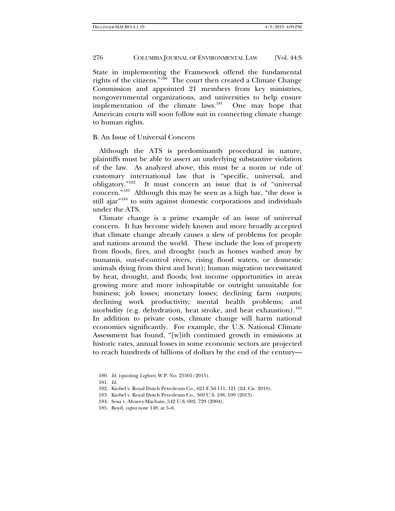State in implementing the Framework offend the fundamental rights of the citizens.["180](#page-35-0) The court then created a Climate Change Commission and appointed 21 members from key ministries, nongovernmental organizations, and universities to help ensure implementation of the climate laws.<sup>[181](#page-35-1)</sup> One may hope that American courts will soon follow suit in connecting climate change to human rights.

## B. An Issue of Universal Concern

Although the ATS is predominantly procedural in nature, plaintiffs must be able to assert an underlying substantive violation of the law. As analyzed above, this must be a norm or rule of customary international law that is "specific, universal, and obligatory."<sup>182</sup> It must concern an issue that is of "universal It must concern an issue that is of "universal concern."[183](#page-35-3) Although this may be seen as a high bar, "the door is still ajar<sup>"[184](#page-35-4)</sup> to suits against domestic corporations and individuals under the ATS.

Climate change is a prime example of an issue of universal concern. It has become widely known and more broadly accepted that climate change already causes a slew of problems for people and nations around the world. These include the loss of property from floods, fires, and drought (such as homes washed away by tsunamis, out-of-control rivers, rising flood waters, or domestic animals dying from thirst and heat); human migration necessitated by heat, drought, and floods; lost income opportunities in areas growing more and more inhospitable or outright unsuitable for business; job losses; monetary losses; declining farm outputs; declining work productivity; mental health problems; and morbidity (e.g. dehydration, heat stroke, and heat exhaustion).<sup>[185](#page-35-5)</sup> In addition to private costs, climate change will harm national economies significantly. For example, the U.S. National Climate Assessment has found, "[w]ith continued growth in emissions at historic rates, annual losses in some economic sectors are projected to reach hundreds of billions of dollars by the end of the century—

- <span id="page-35-0"></span>180. *Id*. (quoting *Leghari*, W.P. No. 25501/2015).
- <span id="page-35-1"></span>181. *Id*.
- <span id="page-35-2"></span>182. Kiobel v. Royal Dutch Petroleum Co*.*, 621 F.3d 111, 121 (2d. Cir. 2010).
- <span id="page-35-3"></span>183. Kiobel v. Royal Dutch Petroleum Co*.*, 569 U.S. 108, 109 (2013).
- <span id="page-35-4"></span>184. Sosa v. Alvarez-Machain, 542 U.S. 692, 729 (2004).
- <span id="page-35-5"></span>185. Boyd, *supra* not[e 148,](#page-29-5) at 5–6.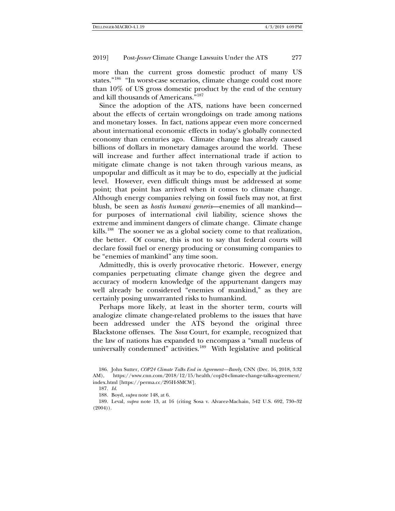more than the current gross domestic product of many US states."[186](#page-36-0) "In worst-case scenarios, climate change could cost more than 10% of US gross domestic product by the end of the century and kill thousands of Americans."[187](#page-36-1)

Since the adoption of the ATS, nations have been concerned about the effects of certain wrongdoings on trade among nations and monetary losses. In fact, nations appear even more concerned about international economic effects in today's globally connected economy than centuries ago. Climate change has already caused billions of dollars in monetary damages around the world. These will increase and further affect international trade if action to mitigate climate change is not taken through various means, as unpopular and difficult as it may be to do, especially at the judicial level. However, even difficult things must be addressed at some point; that point has arrived when it comes to climate change. Although energy companies relying on fossil fuels may not, at first blush, be seen as *hostis humani generis*—enemies of all mankind for purposes of international civil liability, science shows the extreme and imminent dangers of climate change. Climate change kills.<sup>[188](#page-36-2)</sup> The sooner we as a global society come to that realization, the better. Of course, this is not to say that federal courts will declare fossil fuel or energy producing or consuming companies to be "enemies of mankind" any time soon.

Admittedly, this is overly provocative rhetoric. However, energy companies perpetuating climate change given the degree and accuracy of modern knowledge of the appurtenant dangers may well already be considered "enemies of mankind," as they are certainly posing unwarranted risks to humankind.

Perhaps more likely, at least in the shorter term, courts will analogize climate change-related problems to the issues that have been addressed under the ATS beyond the original three Blackstone offenses. The *Sosa* Court, for example, recognized that the law of nations has expanded to encompass a "small nucleus of universally condemned" activities.<sup>189</sup> With legislative and political

<span id="page-36-3"></span><span id="page-36-2"></span><span id="page-36-1"></span>189. Leval, *supra* note [13,](#page-4-9) at 16 (citing Sosa v. Alvarez-Machain, 542 U.S. 692, 730–32  $(2004)$ .

<span id="page-36-0"></span><sup>186.</sup> John Sutter, *COP24 Climate Talks End in Agreement—Barely*, CNN (Dec. 16, 2018, 3:32 AM), https://www.cnn.com/2018/12/15/health/cop24-climate-change-talks-agreement/ index.html [https://perma.cc/295H-SMCW].

<sup>187.</sup> *Id*.

<sup>188.</sup> Boyd, *supra* not[e 148,](#page-29-5) at 6.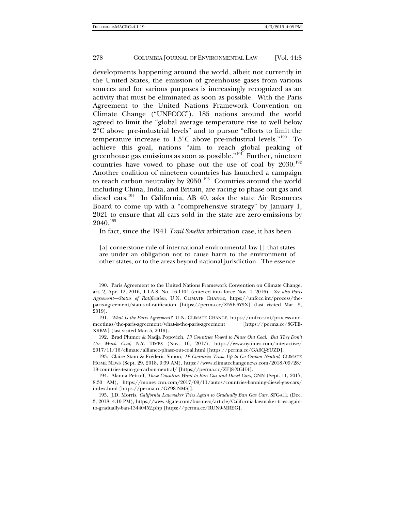developments happening around the world, albeit not currently in the United States, the emission of greenhouse gases from various sources and for various purposes is increasingly recognized as an activity that must be eliminated as soon as possible. With the Paris Agreement to the United Nations Framework Convention on Climate Change ("UNFCCC"), 185 nations around the world agreed to limit the "global average temperature rise to well below 2°C above pre-industrial levels" and to pursue "efforts to limit the temperature increase to  $1.5^{\circ}$ C above pre-industrial levels."<sup>190</sup> To achieve this goal, nations "aim to reach global peaking of greenhouse gas emissions as soon as possible."<sup>191</sup> Further, nineteen countries have vowed to phase out the use of coal by  $2030$ .<sup>[192](#page-37-2)</sup> Another coalition of nineteen countries has launched a campaign to reach carbon neutrality by  $2050.^{193}$  $2050.^{193}$  $2050.^{193}$  Countries around the world including China, India, and Britain, are racing to phase out gas and diesel cars.[194](#page-37-4) In California, AB 40, asks the state Air Resources Board to come up with a "comprehensive strategy" by January 1, 2021 to ensure that all cars sold in the state are zero-emissions by 2040.[195](#page-37-5)

In fact, since the 1941 *Trail Smelter* arbitration case, it has been

[a] cornerstone rule of international environmental law [] that states are under an obligation not to cause harm to the environment of other states, or to the areas beyond national jurisdiction. The essence

<span id="page-37-0"></span>190. Paris Agreement to the United Nations Framework Convention on Climate Change, art. 2, Apr. 12, 2016, T.I.A.S. No. 16-1104 (entered into force Nov. 4, 2016). *See also Paris Agreement—Status of Ratification*, U.N. CLIMATE CHANGE, https://unfccc.int/process/theparis-agreement/status-of-ratification [https://perma.cc/Z55F-6Y9X] (last visited Mar. 5, 2019).

<span id="page-37-1"></span>191*. What Is the Paris Agreement?*, U.N. CLIMATE CHANGE, https://unfccc.int/process-andmeetings/the-paris-agreement/what-is-the-paris-agreement [https://perma.cc/8GTE-X9KW] (last visited Mar. 5, 2019).

<span id="page-37-2"></span>192. Brad Plumer & Nadja Popovich, *19 Countries Vowed to Phase Out Coal. But They Don't Use Much Coal*, N.Y. TIMES (Nov. 16, 2017), https://www.nytimes.com/interactive/ 2017/11/16/climate/alliance-phase-out-coal.html [https://perma.cc/GA6Q-YUZD].

<span id="page-37-3"></span>193. Claire Stam & Frédéric Simon, *19 Countries Team Up to Go Carbon Neutral*, CLIMATE HOME NEWS (Sept. 29, 2018, 9:39 AM), https://www.climatechangenews.com/2018/09/28/ 19-countries-team-go-carbon-neutral/ [https://perma.cc/ZEJ8-XGH4].

<span id="page-37-4"></span>194. Alanna Petroff, *These Countries Want to Ban Gas and Diesel Cars*, CNN (Sept. 11, 2017, 8:30 AM), https://money.cnn.com/2017/09/11/autos/countries-banning-diesel-gas-cars/ index.html [https://perma.cc/GZ98-NMSJ].

<span id="page-37-5"></span>195. J.D. Morris, *California Lawmaker Tries Again to Gradually Ban Gas Cars*, SFGATE (Dec. 3, 2018, 4:10 PM), https://www.sfgate.com/business/article/California-lawmaker-tries-againto-gradually-ban-13440452.php [https://perma.cc/RUN9-MREG].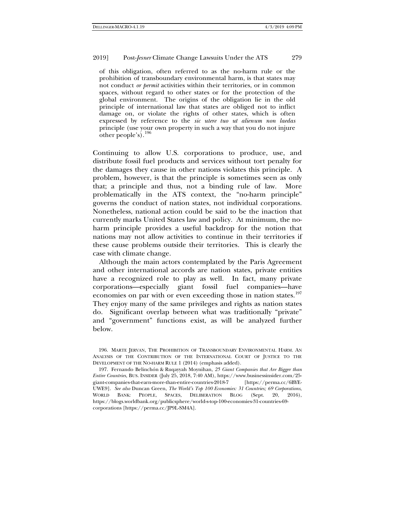of this obligation, often referred to as the no-harm rule or the prohibition of transboundary environmental harm, is that states may not conduct *or permit* activities within their territories, or in common spaces, without regard to other states or for the protection of the global environment. The origins of the obligation lie in the old principle of international law that states are obliged not to inflict damage on, or violate the rights of other states, which is often expressed by reference to the *sic utere tuo ut alienum non laedas* principle (use your own property in such a way that you do not injure other people's).[196](#page-38-0)

Continuing to allow U.S. corporations to produce, use, and distribute fossil fuel products and services without tort penalty for the damages they cause in other nations violates this principle. A problem, however, is that the principle is sometimes seen as only that; a principle and thus, not a binding rule of law. More problematically in the ATS context, the "no-harm principle" governs the conduct of nation states, not individual corporations. Nonetheless, national action could be said to be the inaction that currently marks United States law and policy. At minimum, the noharm principle provides a useful backdrop for the notion that nations may not allow activities to continue in their territories if these cause problems outside their territories. This is clearly the case with climate change.

<span id="page-38-2"></span>Although the main actors contemplated by the Paris Agreement and other international accords are nation states, private entities have a recognized role to play as well. In fact, many private corporations—especially giant fossil fuel companies—have economies on par with or even exceeding those in nation states.<sup>[197](#page-38-1)</sup> They enjoy many of the same privileges and rights as nation states do. Significant overlap between what was traditionally "private" and "government" functions exist, as will be analyzed further below.

<span id="page-38-0"></span>196. MARTE JERVAN, THE PROHIBITION OF TRANSBOUNDARY ENVIRONMENTAL HARM. AN ANALYSIS OF THE CONTRIBUTION OF THE INTERNATIONAL COURT OF JUSTICE TO THE DEVELOPMENT OF THE NO-HARM RULE 1 (2014) (emphasis added).

<span id="page-38-1"></span>197. Fernando Belinchón & Ruqayyah Moynihan, *25 Giant Companies that Are Bigger than Entire Countries*, BUS. INSIDER (July 25, 2018, 7:40 AM), https://www.businessinsider.com/25 giant-companies-that-earn-more-than-entire-countries-2018-7 [https://perma.cc/6BYE-UWE9]. *See also* Duncan Green, *The World's Top 100 Economies: 31 Countries; 69 Corporations*, WORLD BANK: PEOPLE, SPACES, DELIBERATION BLOG (Sept. 20, 2016), https://blogs.worldbank.org/publicsphere/world-s-top-100-economies-31-countries-69 corporations [https://perma.cc/JP9L-SM4A].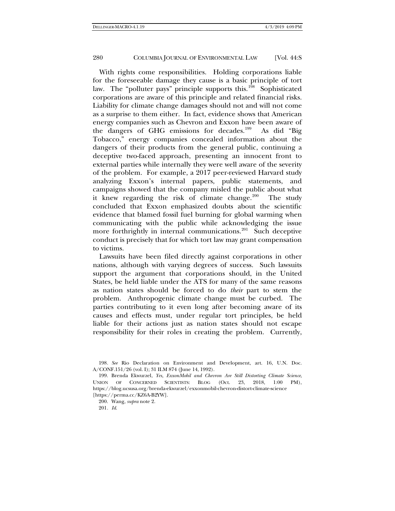With rights come responsibilities. Holding corporations liable for the foreseeable damage they cause is a basic principle of tort law. The "polluter pays" principle supports this.<sup>[198](#page-39-0)</sup> Sophisticated corporations are aware of this principle and related financial risks. Liability for climate change damages should not and will not come as a surprise to them either. In fact, evidence shows that American energy companies such as Chevron and Exxon have been aware of the dangers of GHG emissions for decades.[199](#page-39-1) As did "Big Tobacco," energy companies concealed information about the dangers of their products from the general public, continuing a deceptive two-faced approach, presenting an innocent front to external parties while internally they were well aware of the severity of the problem. For example, a 2017 peer-reviewed Harvard study analyzing Exxon's internal papers, public statements, and campaigns showed that the company misled the public about what it knew regarding the risk of climate change.<sup>[200](#page-39-2)</sup> The study concluded that Exxon emphasized doubts about the scientific evidence that blamed fossil fuel burning for global warming when communicating with the public while acknowledging the issue more forthrightly in internal communications.<sup>201</sup> Such deceptive conduct is precisely that for which tort law may grant compensation to victims.

Lawsuits have been filed directly against corporations in other nations, although with varying degrees of success. Such lawsuits support the argument that corporations should, in the United States, be held liable under the ATS for many of the same reasons as nation states should be forced to do *their* part to stem the problem. Anthropogenic climate change must be curbed. The parties contributing to it even long after becoming aware of its causes and effects must, under regular tort principles, be held liable for their actions just as nation states should not escape responsibility for their roles in creating the problem. Currently,

201*. Id*.

<span id="page-39-0"></span><sup>198</sup>*. See* Rio Declaration on Environment and Development, art. 16, U.N. Doc. A/CONF.151/26 (vol. I); 31 ILM 874 (June 14, 1992).

<span id="page-39-3"></span><span id="page-39-2"></span><span id="page-39-1"></span><sup>199.</sup> Brenda Ekwurzel, *Yes, ExxonMobil and Chevron Are Still Distorting Climate Science*, UNION OF CONCERNED SCIENTISTS: BLOG (Oct. 23, 2018, 1:00 PM), https://blog.ucsusa.org/brenda-ekwurzel/exxonmobil-chevron-distort-climate-science [https://perma.cc/KZ6A-B2YW].

<sup>200.</sup> Wang, *supra* not[e 2.](#page-1-4)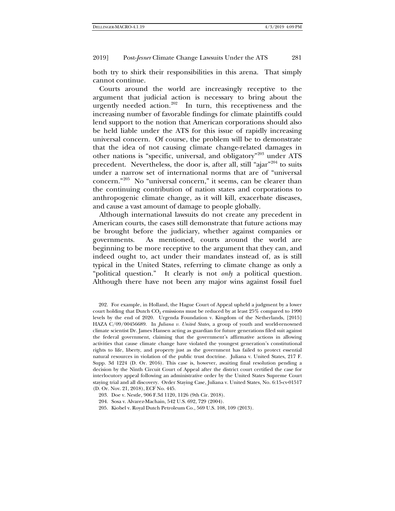both try to shirk their responsibilities in this arena. That simply cannot continue.

Courts around the world are increasingly receptive to the argument that judicial action is necessary to bring about the urgently needed action.<sup>[202](#page-40-0)</sup> In turn, this receptiveness and the increasing number of favorable findings for climate plaintiffs could lend support to the notion that American corporations should also be held liable under the ATS for this issue of rapidly increasing universal concern. Of course, the problem will be to demonstrate that the idea of not causing climate change-related damages in other nations is "specific, universal, and obligatory"[203](#page-40-1) under ATS precedent. Nevertheless, the door is, after all, still "ajar"[204](#page-40-2) to suits under a narrow set of international norms that are of "universal concern."[205](#page-40-3) No "universal concern," it seems, can be clearer than the continuing contribution of nation states and corporations to anthropogenic climate change, as it will kill, exacerbate diseases, and cause a vast amount of damage to people globally.

Although international lawsuits do not create any precedent in American courts, the cases still demonstrate that future actions may be brought before the judiciary, whether against companies or governments. As mentioned, courts around the world are beginning to be more receptive to the argument that they can, and indeed ought to, act under their mandates instead of, as is still typical in the United States, referring to climate change as only a "political question." It clearly is not *only* a political question. Although there have not been any major wins against fossil fuel

<span id="page-40-3"></span><span id="page-40-2"></span>205. Kiobel v. Royal Dutch Petroleum Co*.*, 569 U.S. 108, 109 (2013).

<span id="page-40-0"></span><sup>202.</sup> For example, in Holland, the Hague Court of Appeal upheld a judgment by a lower court holding that Dutch  $CO<sub>2</sub>$  emissions must be reduced by at least 25% compared to 1990 levels by the end of 2020. Urgenda Foundation v. Kingdom of the Netherlands, [2015] HAZA C/09/00456689. In *Juliana v. United States*, a group of youth and world-renowned climate scientist Dr. James Hansen acting as guardian for future generations filed suit against the federal government, claiming that the government's affirmative actions in allowing activities that cause climate change have violated the youngest generation's constitutional rights to life, liberty, and property just as the government has failed to protect essential natural resources in violation of the public trust doctrine. Juliana v. United States, 217 F. Supp. 3d 1224 (D. Or. 2016). This case is, however, awaiting final resolution pending a decision by the Ninth Circuit Court of Appeal after the district court certified the case for interlocutory appeal following an administrative order by the United States Supreme Court staying trial and all discovery. Order Staying Case, Juliana v. United States, No. 6:15-cv-01517 (D. Or. Nov. 21, 2018), ECF No. 445.

<span id="page-40-1"></span><sup>203.</sup> Doe v. Nestle*,* 906 F.3d 1120, 1126 (9th Cir. 2018).

<sup>204.</sup> Sosa v. Alvarez-Machain, 542 U.S. 692, 729 (2004).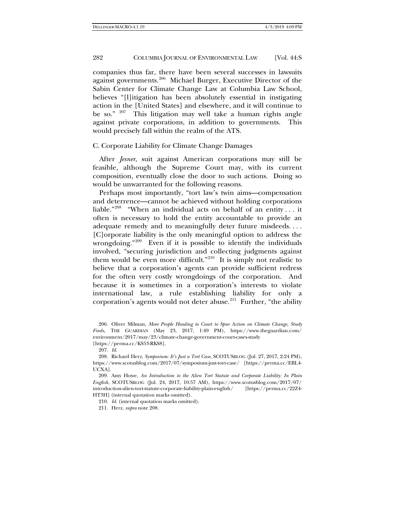companies thus far, there have been several successes in lawsuits against governments.[206](#page-41-1) Michael Burger, Executive Director of the Sabin Center for Climate Change Law at Columbia Law School, believes "[l]itigation has been absolutely essential in instigating action in the [United States] and elsewhere, and it will continue to be so."  $207$  This litigation may well take a human rights angle against private corporations, in addition to governments. This would precisely fall within the realm of the ATS.

# C. Corporate Liability for Climate Change Damages

After *Jesner*, suit against American corporations may still be feasible, although the Supreme Court may, with its current composition, eventually close the door to such actions. Doing so would be unwarranted for the following reasons.

<span id="page-41-7"></span><span id="page-41-0"></span>Perhaps most importantly, "tort law's twin aims—compensation and deterrence—cannot be achieved without holding corporations liable."<sup>[208](#page-41-3)</sup> "When an individual acts on behalf of an entity ... it often is necessary to hold the entity accountable to provide an adequate remedy and to meaningfully deter future misdeeds. . . . [C]orporate liability is the only meaningful option to address the wrongdoing."<sup>209</sup> Even if it is possible to identify the individuals involved, "securing jurisdiction and collecting judgments against them would be even more difficult."<sup>210</sup> It is simply not realistic to believe that a corporation's agents can provide sufficient redress for the often very costly wrongdoings of the corporation. And because it is sometimes in a corporation's interests to violate international law, a rule establishing liability for only a corporation's agents would not deter abuse. $2^{11}$  Further, "the ability

<span id="page-41-1"></span>206. Oliver Milman, *More People Heading to Court to Spur Action on Climate Change, Study Finds*, THE GUARDIAN (May 23, 2017, 1:49 PM), https://www.theguardian.com/ environment/2017/may/23/climate-change-government-court-cases-study [https://perma.cc/KS53-RKS8].

207*. Id*.

<span id="page-41-3"></span><span id="page-41-2"></span>208. Richard Herz, *Symposium: It's Just a Tort Case*, SCOTUSBLOG (Jul. 27, 2017, 2:24 PM), https://www.scotusblog.com/2017/07/symposium-just-tort-case/ [https://perma.cc/EBL4- UCXA].

<span id="page-41-6"></span><span id="page-41-5"></span><span id="page-41-4"></span>209. Amy Howe, *An Introduction to the Alien Tort Statute and Corporate Liability: In Plain English*, SCOTUSBLOG (Jul. 24, 2017, 10:57 AM), https://www.scotusblog.com/2017/07/ introduction-alien-tort-statute-corporate-liability-plain-english/ [https://perma.cc/22Z4- HT3H] (internal quotation marks omitted).

210*. Id*. (internal quotation marks omitted).

211. Herz, *supra* not[e 208.](#page-41-0)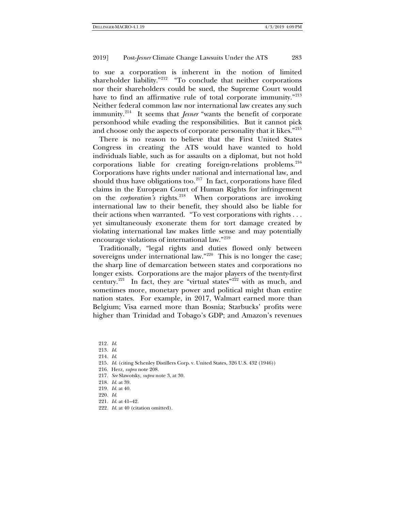to sue a corporation is inherent in the notion of limited shareholder liability."<sup>212</sup> "To conclude that neither corporations nor their shareholders could be sued, the Supreme Court would have to find an affirmative rule of total corporate immunity."<sup>[213](#page-42-1)</sup> Neither federal common law nor international law creates any such immunity.[214](#page-42-2) It seems that *Jesner* "wants the benefit of corporate personhood while evading the responsibilities. But it cannot pick and choose only the aspects of corporate personality that it likes."<sup>[215](#page-42-3)</sup>

There is no reason to believe that the First United States Congress in creating the ATS would have wanted to hold individuals liable, such as for assaults on a diplomat, but not hold  $corporations$  liable for creating foreign-relations problems.<sup>[216](#page-42-4)</sup> Corporations have rights under national and international law, and should thus have obligations too. $217$  In fact, corporations have filed claims in the European Court of Human Rights for infringement on the *corporation's* rights.[218](#page-42-6) When corporations are invoking international law to their benefit, they should also be liable for their actions when warranted. "To vest corporations with rights . . . yet simultaneously exonerate them for tort damage created by violating international law makes little sense and may potentially encourage violations of international law."[219](#page-42-7)

Traditionally, "legal rights and duties flowed only between sovereigns under international law."<sup>[220](#page-42-8)</sup> This is no longer the case; the sharp line of demarcation between states and corporations no longer exists. Corporations are the major players of the twenty-first century.<sup>221</sup> In fact, they are "virtual states"<sup>[222](#page-42-10)</sup> with as much, and sometimes more, monetary power and political might than entire nation states. For example, in 2017, Walmart earned more than Belgium; Visa earned more than Bosnia; Starbucks' profits were higher than Trinidad and Tobago's GDP; and Amazon's revenues

- <span id="page-42-5"></span>217*. See* Slawotsky, *supra* not[e 3,](#page-1-3) at 30.
- <span id="page-42-6"></span>218*. Id*. at 39.
- 219*. Id*. at 40.
- <span id="page-42-9"></span><span id="page-42-8"></span><span id="page-42-7"></span>220*. Id*.
- 221*. Id*. at 41–42.
- <span id="page-42-10"></span>222*. Id*. at 40 (citation omitted).

<span id="page-42-1"></span><span id="page-42-0"></span><sup>212</sup>*. Id*.

<sup>213</sup>*. Id*.

<span id="page-42-2"></span><sup>214</sup>*. Id*.

<span id="page-42-3"></span><sup>215</sup>*. Id*. (citing Schenley Distillers Corp. v. United States, 326 U.S. 432 (1946))

<span id="page-42-4"></span><sup>216.</sup> Herz, *supra* not[e 208.](#page-41-7)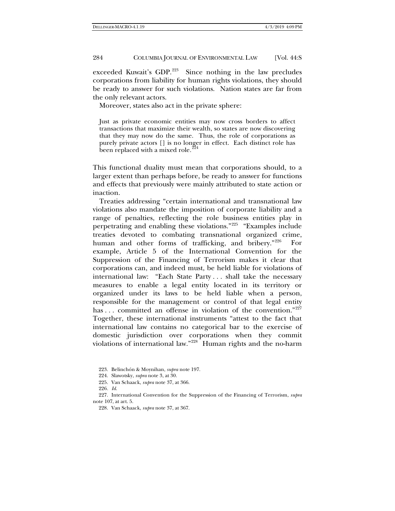exceeded Kuwait's GDP.<sup>223</sup> Since nothing in the law precludes corporations from liability for human rights violations, they should be ready to answer for such violations. Nation states are far from the only relevant actors.

Moreover, states also act in the private sphere:

Just as private economic entities may now cross borders to affect transactions that maximize their wealth, so states are now discovering that they may now do the same. Thus, the role of corporations as purely private actors [] is no longer in effect. Each distinct role has been replaced with a mixed role. $\frac{224}{2}$  $\frac{224}{2}$  $\frac{224}{2}$ 

This functional duality must mean that corporations should, to a larger extent than perhaps before, be ready to answer for functions and effects that previously were mainly attributed to state action or inaction.

Treaties addressing "certain international and transnational law violations also mandate the imposition of corporate liability and a range of penalties, reflecting the role business entities play in perpetrating and enabling these violations."[225](#page-43-2) "Examples include treaties devoted to combating transnational organized crime, human and other forms of trafficking, and bribery."<sup>[226](#page-43-3)</sup> For example, Article 5 of the International Convention for the Suppression of the Financing of Terrorism makes it clear that corporations can, and indeed must, be held liable for violations of international law: "Each State Party . . . shall take the necessary measures to enable a legal entity located in its territory or organized under its laws to be held liable when a person, responsible for the management or control of that legal entity has ... committed an offense in violation of the convention."[227](#page-43-4) Together, these international instruments "attest to the fact that international law contains no categorical bar to the exercise of domestic jurisdiction over corporations when they commit violations of international law."<sup>228</sup> Human rights and the no-harm

<sup>223.</sup> Belinchón & Moynihan, *supra* not[e 197.](#page-38-2)

<sup>224.</sup> Slawotsky, *supra* not[e 3,](#page-1-3) at 30.

<sup>225.</sup> Van Schaack, *supra* not[e 37,](#page-7-8) at 366.

<sup>226</sup>*. Id*.

<span id="page-43-5"></span><span id="page-43-4"></span><span id="page-43-3"></span><span id="page-43-2"></span><span id="page-43-1"></span><span id="page-43-0"></span><sup>227.</sup> International Convention for the Suppression of the Financing of Terrorism, *supra*  note [107,](#page-20-4) at art. 5.

<sup>228.</sup> Van Schaack, *supra* not[e 37,](#page-7-8) at 367.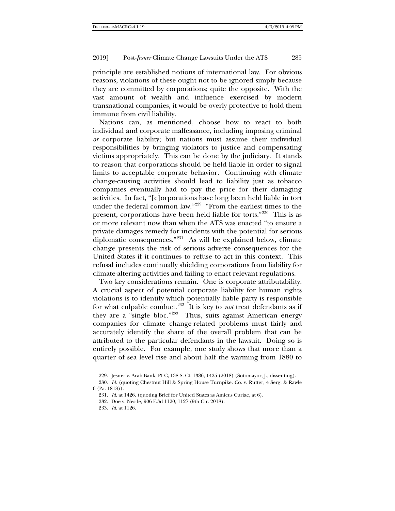principle are established notions of international law. For obvious reasons, violations of these ought not to be ignored simply because they are committed by corporations; quite the opposite. With the vast amount of wealth and influence exercised by modern transnational companies, it would be overly protective to hold them immune from civil liability.

Nations can, as mentioned, choose how to react to both individual and corporate malfeasance, including imposing criminal *or* corporate liability; but nations must assume their individual responsibilities by bringing violators to justice and compensating victims appropriately. This can be done by the judiciary. It stands to reason that corporations should be held liable in order to signal limits to acceptable corporate behavior. Continuing with climate change-causing activities should lead to liability just as tobacco companies eventually had to pay the price for their damaging activities. In fact, "[c]orporations have long been held liable in tort under the federal common law."<sup>229</sup> "From the earliest times to the present, corporations have been held liable for torts."[230](#page-44-1) This is as or more relevant now than when the ATS was enacted "to ensure a private damages remedy for incidents with the potential for serious diplomatic consequences."[231](#page-44-2) As will be explained below, climate change presents the risk of serious adverse consequences for the United States if it continues to refuse to act in this context. This refusal includes continually shielding corporations from liability for climate-altering activities and failing to enact relevant regulations.

Two key considerations remain. One is corporate attributability. A crucial aspect of potential corporate liability for human rights violations is to identify which potentially liable party is responsible for what culpable conduct.<sup>[232](#page-44-3)</sup> It is key to *not* treat defendants as if they are a "single bloc."[233](#page-44-4) Thus, suits against American energy companies for climate change-related problems must fairly and accurately identify the share of the overall problem that can be attributed to the particular defendants in the lawsuit. Doing so is entirely possible. For example, one study shows that more than a quarter of sea level rise and about half the warming from 1880 to

<sup>229.</sup> Jesner v. Arab Bank, PLC, 138 S. Ct. 1386, 1425 (2018) (Sotomayor, J., dissenting).

<span id="page-44-4"></span><span id="page-44-3"></span><span id="page-44-2"></span><span id="page-44-1"></span><span id="page-44-0"></span><sup>230</sup>*. Id*. (quoting Chestnut Hill & Spring House Turnpike. Co. v. Rutter, 4 Serg. & Rawle 6 (Pa. 1818)).

<sup>231</sup>*. Id*. at 1426. (quoting Brief for United States as Amicus Curiae, at 6).

<sup>232.</sup> Doe v. Nestle*,* 906 F.3d 1120, 1127 (9th Cir. 2018).

<sup>233</sup>*. Id*. at 1126.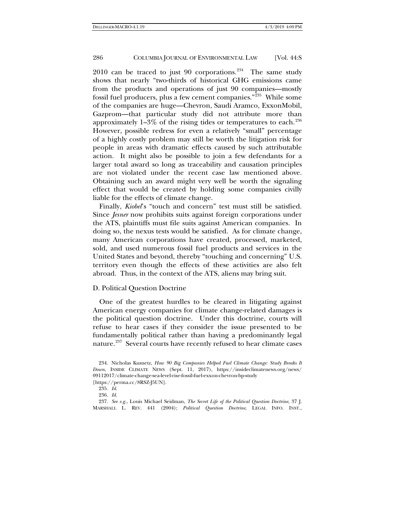2010 can be traced to just 90 corporations.<sup>[234](#page-45-0)</sup> The same study shows that nearly "two-thirds of historical GHG emissions came from the products and operations of just 90 companies—mostly fossil fuel producers, plus a few cement companies."[235](#page-45-1) While some of the companies are huge—Chevron, Saudi Aramco, ExxonMobil, Gazprom—that particular study did not attribute more than approximately  $1-3\%$  of the rising tides or temperatures to each.<sup>[236](#page-45-2)</sup> However, possible redress for even a relatively "small" percentage of a highly costly problem may still be worth the litigation risk for people in areas with dramatic effects caused by such attributable action. It might also be possible to join a few defendants for a larger total award so long as traceability and causation principles are not violated under the recent case law mentioned above. Obtaining such an award might very well be worth the signaling effect that would be created by holding some companies civilly liable for the effects of climate change.

Finally, *Kiobel*'s "touch and concern" test must still be satisfied. Since *Jesner* now prohibits suits against foreign corporations under the ATS, plaintiffs must file suits against American companies. In doing so, the nexus tests would be satisfied. As for climate change, many American corporations have created, processed, marketed, sold, and used numerous fossil fuel products and services in the United States and beyond, thereby "touching and concerning" U.S. territory even though the effects of these activities are also felt abroad. Thus, in the context of the ATS, aliens may bring suit.

# D. Political Question Doctrine

One of the greatest hurdles to be cleared in litigating against American energy companies for climate change-related damages is the political question doctrine. Under this doctrine, courts will refuse to hear cases if they consider the issue presented to be fundamentally political rather than having a predominantly legal nature.<sup>[237](#page-45-3)</sup> Several courts have recently refused to hear climate cases

<span id="page-45-0"></span><sup>234.</sup> Nicholas Kusnetz, *How 90 Big Companies Helped Fuel Climate Change: Study Breaks It Down*, INSIDE CLIMATE NEWS (Sept. 11, 2017), https://insideclimatenews.org/news/ 09112017/climate-change-sea-level-rise-fossil-fuel-exxon-chevron-bp-study [https://perma.cc/8RSZ-J5UN].

<sup>235</sup>*. Id*.

<sup>236</sup>*. Id*.

<span id="page-45-3"></span><span id="page-45-2"></span><span id="page-45-1"></span><sup>237</sup>*. See e.g.*, Louis Michael Seidman, *The Secret Life of the Political Question Doctrine*, 37 J. MARSHALL L. REV. 441 (2004); *Political Question Doctrine*, LEGAL INFO. INST.,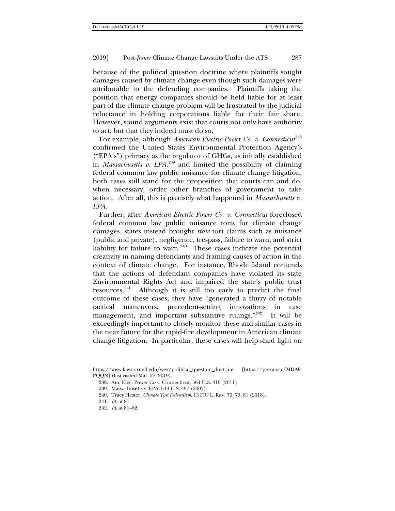because of the political question doctrine where plaintiffs sought damages caused by climate change even though such damages were attributable to the defending companies. Plaintiffs taking the position that energy companies should be held liable for at least part of the climate change problem will be frustrated by the judicial reluctance in holding corporations liable for their fair share. However, sound arguments exist that courts not only have authority to act, but that they indeed must do so.

For example, although *American Electric Power Co. v. Connecticut*<sup>[238](#page-46-0)</sup> confirmed the United States Environmental Protection Agency's ("EPA's") primacy as the regulator of GHGs, as initially established in *Massachusetts v. EPA*, [239](#page-46-1) and limited the possibility of claiming federal common law public nuisance for climate change litigation, both cases still stand for the proposition that courts can and do, when necessary, order other branches of government to take action. After all, this is precisely what happened in *Massachusetts v. EPA.*

Further, after *American Electric Power Co. v. Connecticut* foreclosed federal common law public nuisance torts for climate change damages, states instead brought *state* tort claims such as nuisance (public and private), negligence, trespass, failure to warn, and strict liability for failure to warn. $240$  These cases indicate the potential creativity in naming defendants and framing causes of action in the context of climate change. For instance, Rhode Island contends that the actions of defendant companies have violated its state Environmental Rights Act and impaired the state's public trust resources.[241](#page-46-3) Although it is still too early to predict the final outcome of these cases, they have "generated a flurry of notable tactical maneuvers, precedent-setting innovations in case management, and important substantive rulings."<sup>[242](#page-46-4)</sup> It will be exceedingly important to closely monitor these and similar cases in the near future for the rapid-fire development in American climate change litigation. In particular, these cases will help shed light on

- 238. Am. Elec. Power Co v. Connecticut*,* 564 U.S. 410 (2011).
- 239. Massachusetts v. EPA, 549 U.S. 497 (2007).
- 240. Tracy Hester, *Climate Tort Federalism*, 13 FIU L. REV. 79, 79, 81 (2018).
- 241*. Id*. at 81.
- <span id="page-46-4"></span>242*. Id*. at 81–82.

<span id="page-46-3"></span><span id="page-46-2"></span><span id="page-46-1"></span><span id="page-46-0"></span>https://www.law.cornell.edu/wex/political\_question\_doctrine [https://perma.cc/MDA9- PQQN] (last visited Mar. 27, 2019).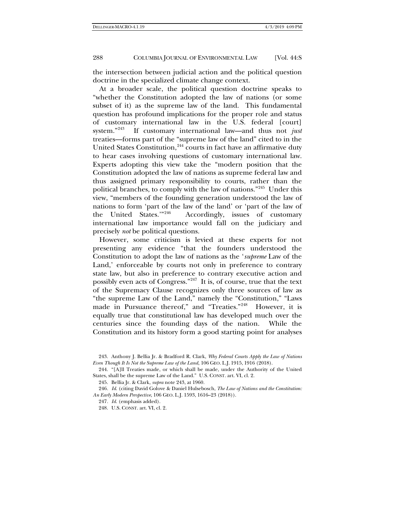the intersection between judicial action and the political question doctrine in the specialized climate change context.

<span id="page-47-0"></span>At a broader scale, the political question doctrine speaks to "whether the Constitution adopted the law of nations (or some subset of it) as the supreme law of the land. This fundamental question has profound implications for the proper role and status of customary international law in the U.S. federal [court] system."[243](#page-47-1) If customary international law—and thus not *just* treaties—forms part of the "supreme law of the land" cited to in the United States Constitution, $244$  courts in fact have an affirmative duty to hear cases involving questions of customary international law. Experts adopting this view take the "modern position that the Constitution adopted the law of nations as supreme federal law and thus assigned primary responsibility to courts, rather than the political branches, to comply with the law of nations."[245](#page-47-3) Under this view, "members of the founding generation understood the law of nations to form 'part of the law of the land' or 'part of the law of<br>the United States.'<sup>"246</sup> Accordingly, issues of customary Accordingly, issues of customary international law importance would fall on the judiciary and precisely *not* be political questions.

However, some criticism is levied at these experts for not presenting any evidence "that the founders understood the Constitution to adopt the law of nations as the '*supreme* Law of the Land,' enforceable by courts not only in preference to contrary state law, but also in preference to contrary executive action and possibly even acts of Congress."[247](#page-47-5) It is, of course, true that the text of the Supremacy Clause recognizes only three sources of law as "the supreme Law of the Land," namely the "Constitution," "Laws made in Pursuance thereof," and "Treaties."<sup>248</sup> However, it is equally true that constitutional law has developed much over the centuries since the founding days of the nation. While the Constitution and its history form a good starting point for analyses

<span id="page-47-1"></span><sup>243.</sup> Anthony J. Bellia Jr. & Bradford R. Clark, *Why Federal Courts Apply the Law of Nations Even Though It Is Not the Supreme Law of the Land*, 106 GEO. L.J. 1915, 1916 (2018).

<span id="page-47-2"></span><sup>244.</sup> "[A]ll Treaties made, or which shall be made, under the Authority of the United States, shall be the supreme Law of the Land." U.S. CONST. art. VI, cl. 2.

<sup>245.</sup> Bellia Jr. & Clark, *supra* not[e 243,](#page-47-0) at 1960.

<span id="page-47-6"></span><span id="page-47-5"></span><span id="page-47-4"></span><span id="page-47-3"></span><sup>246</sup>*. Id*. (citing David Golove & Daniel Hulsebosch, *The Law of Nations and the Constitution: An Early Modern Perspective*, 106 GEO. L.J. 1593, 1616–23 (2018)).

<sup>247</sup>*. Id*. (emphasis added).

<sup>248.</sup> U.S. CONST. art. VI, cl. 2.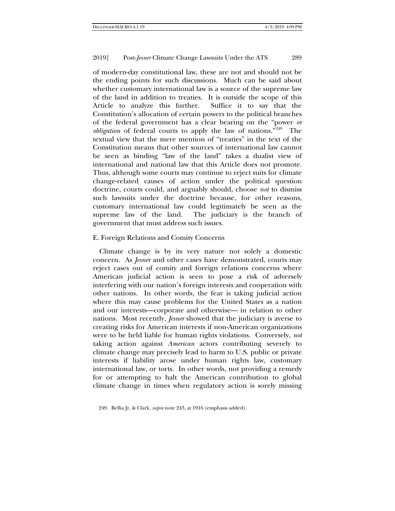of modern-day constitutional law, these are not and should not be the ending points for such discussions. Much can be said about whether customary international law is a source of the supreme law of the land in addition to treaties. It is outside the scope of this Article to analyze this further. Suffice it to say that the Constitution's allocation of certain powers to the political branches of the federal government has a clear bearing on the "power *or obligation* of federal courts to apply the law of nations.<sup>"249</sup> The textual view that the mere mention of "treaties" in the text of the Constitution means that other sources of international law cannot be seen as binding "law of the land" takes a dualist view of international and national law that this Article does not promote. Thus, although some courts may continue to reject suits for climate change-related causes of action under the political question doctrine, courts could, and arguably should, choose *not* to dismiss such lawsuits under the doctrine because, for other reasons, customary international law could legitimately be seen as the supreme law of the land. The judiciary is the branch of government that must address such issues.

# E. Foreign Relations and Comity Concerns

Climate change is by its very nature not solely a domestic concern. As *Jesner* and other cases have demonstrated, courts may reject cases out of comity and foreign relations concerns where American judicial action is seen to pose a risk of adversely interfering with our nation's foreign interests and cooperation with other nations. In other words, the fear is taking judicial action where this may cause problems for the United States as a nation and our interests—corporate and otherwise— in relation to other nations. Most recently, *Jesner* showed that the judiciary is averse to creating risks for American interests if non-American organizations were to be held liable for human rights violations. Conversely, *not* taking action against *American* actors contributing severely to climate change may precisely lead to harm to U.S. public or private interests if liability arose under human rights law, customary international law, or torts. In other words, not providing a remedy for or attempting to halt the American contribution to global climate change in times when regulatory action is sorely missing

<span id="page-48-0"></span><sup>249.</sup> Bellia Jr. & Clark, *supra* not[e 243,](#page-47-0) at 1916 (emphasis added).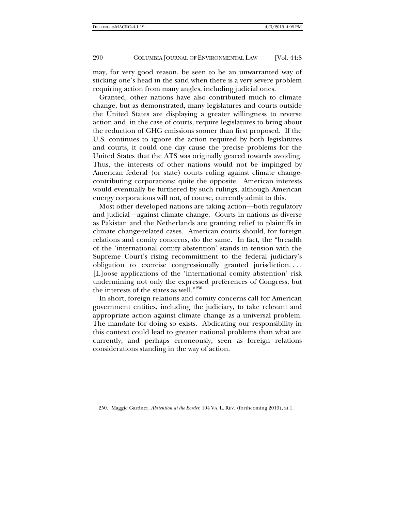may, for very good reason, be seen to be an unwarranted way of sticking one's head in the sand when there is a very severe problem requiring action from many angles, including judicial ones.

Granted, other nations have also contributed much to climate change, but as demonstrated, many legislatures and courts outside the United States are displaying a greater willingness to reverse action and, in the case of courts, require legislatures to bring about the reduction of GHG emissions sooner than first proposed. If the U.S. continues to ignore the action required by both legislatures and courts, it could one day cause the precise problems for the United States that the ATS was originally geared towards avoiding. Thus, the interests of other nations would not be impinged by American federal (or state) courts ruling against climate changecontributing corporations; quite the opposite. American interests would eventually be furthered by such rulings, although American energy corporations will not, of course, currently admit to this.

Most other developed nations are taking action—both regulatory and judicial—against climate change. Courts in nations as diverse as Pakistan and the Netherlands are granting relief to plaintiffs in climate change-related cases. American courts should, for foreign relations and comity concerns, do the same. In fact, the "breadth of the 'international comity abstention' stands in tension with the Supreme Court's rising recommitment to the federal judiciary's obligation to exercise congressionally granted jurisdiction. . . . [L]oose applications of the 'international comity abstention' risk undermining not only the expressed preferences of Congress, but the interests of the states as well."<sup>250</sup>

<span id="page-49-0"></span>In short, foreign relations and comity concerns call for American government entities, including the judiciary, to take relevant and appropriate action against climate change as a universal problem. The mandate for doing so exists. Abdicating our responsibility in this context could lead to greater national problems than what are currently, and perhaps erroneously, seen as foreign relations considerations standing in the way of action.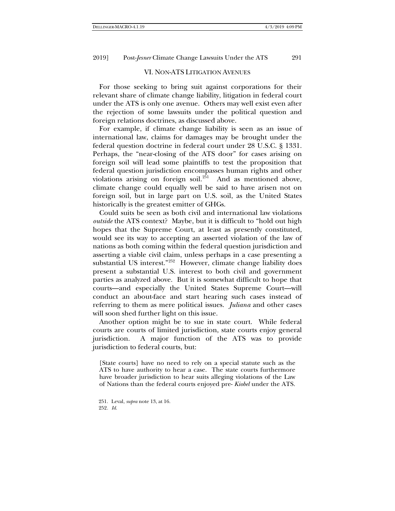# VI. NON-ATS LITIGATION AVENUES

For those seeking to bring suit against corporations for their relevant share of climate change liability, litigation in federal court under the ATS is only one avenue. Others may well exist even after the rejection of some lawsuits under the political question and foreign relations doctrines, as discussed above.

For example, if climate change liability is seen as an issue of international law, claims for damages may be brought under the federal question doctrine in federal court under 28 U.S.C. § 1331. Perhaps, the "near-closing of the ATS door" for cases arising on foreign soil will lead some plaintiffs to test the proposition that federal question jurisdiction encompasses human rights and other violations arising on foreign soil. $2^{51}$  And as mentioned above, climate change could equally well be said to have arisen not on foreign soil, but in large part on U.S. soil, as the United States historically is the greatest emitter of GHGs.

Could suits be seen as both civil and international law violations *outside* the ATS context? Maybe, but it is difficult to "hold out high hopes that the Supreme Court, at least as presently constituted, would see its way to accepting an asserted violation of the law of nations as both coming within the federal question jurisdiction and asserting a viable civil claim, unless perhaps in a case presenting a substantial US interest."<sup>[252](#page-50-1)</sup> However, climate change liability does present a substantial U.S. interest to both civil and government parties as analyzed above. But it is somewhat difficult to hope that courts—and especially the United States Supreme Court—will conduct an about-face and start hearing such cases instead of referring to them as mere political issues. *Juliana* and other cases will soon shed further light on this issue.

Another option might be to sue in state court. While federal courts are courts of limited jurisdiction, state courts enjoy general jurisdiction. A major function of the ATS was to provide jurisdiction to federal courts, but:

[State courts] have no need to rely on a special statute such as the ATS to have authority to hear a case. The state courts furthermore have broader jurisdiction to hear suits alleging violations of the Law of Nations than the federal courts enjoyed pre- *Kiobel* under the ATS.

<span id="page-50-1"></span><span id="page-50-0"></span>251. Leval, *supra* not[e 13,](#page-4-9) at 16. 252*. Id*.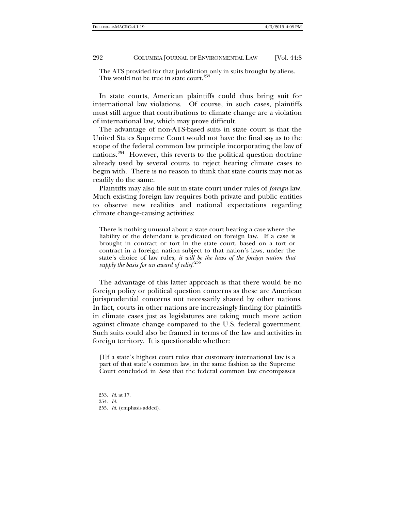The ATS provided for that jurisdiction only in suits brought by aliens. This would not be true in state court.<sup>[253](#page-51-0)</sup>

In state courts, American plaintiffs could thus bring suit for international law violations. Of course, in such cases, plaintiffs must still argue that contributions to climate change are a violation of international law, which may prove difficult.

The advantage of non-ATS-based suits in state court is that the United States Supreme Court would not have the final say as to the scope of the federal common law principle incorporating the law of nations.[254](#page-51-1) However, this reverts to the political question doctrine already used by several courts to reject hearing climate cases to begin with. There is no reason to think that state courts may not as readily do the same.

Plaintiffs may also file suit in state court under rules of *foreign* law. Much existing foreign law requires both private and public entities to observe new realities and national expectations regarding climate change-causing activities:

There is nothing unusual about a state court hearing a case where the liability of the defendant is predicated on foreign law. If a case is brought in contract or tort in the state court, based on a tort or contract in a foreign nation subject to that nation's laws, under the state's choice of law rules, *it will be the laws of the foreign nation that supply the basis for an award of relief*. [255](#page-51-2)

The advantage of this latter approach is that there would be no foreign policy or political question concerns as these are American jurisprudential concerns not necessarily shared by other nations. In fact, courts in other nations are increasingly finding for plaintiffs in climate cases just as legislatures are taking much more action against climate change compared to the U.S. federal government. Such suits could also be framed in terms of the law and activities in foreign territory. It is questionable whether:

[I]f a state's highest court rules that customary international law is a part of that state's common law, in the same fashion as the Supreme Court concluded in *Sosa* that the federal common law encompasses

<span id="page-51-2"></span><span id="page-51-1"></span><span id="page-51-0"></span>253*. Id*. at 17. 254*. Id*. 255*. Id*. (emphasis added).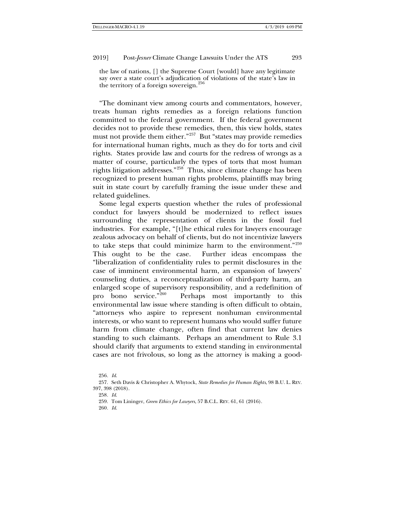the law of nations, [] the Supreme Court [would] have any legitimate say over a state court's adjudication of violations of the state's law in the territory of a foreign sovereign.<sup>[256](#page-52-0)</sup>

"The dominant view among courts and commentators, however, treats human rights remedies as a foreign relations function committed to the federal government. If the federal government decides not to provide these remedies, then, this view holds, states must not provide them either."[257](#page-52-1) But "states may provide remedies for international human rights, much as they do for torts and civil rights. States provide law and courts for the redress of wrongs as a matter of course, particularly the types of torts that most human rights litigation addresses."[258](#page-52-2) Thus, since climate change has been recognized to present human rights problems, plaintiffs may bring suit in state court by carefully framing the issue under these and related guidelines.

Some legal experts question whether the rules of professional conduct for lawyers should be modernized to reflect issues surrounding the representation of clients in the fossil fuel industries. For example, "[t]he ethical rules for lawyers encourage zealous advocacy on behalf of clients, but do not incentivize lawyers to take steps that could minimize harm to the environment." $259$ This ought to be the case. Further ideas encompass the "liberalization of confidentiality rules to permit disclosures in the case of imminent environmental harm, an expansion of lawyers' counseling duties, a reconceptualization of third-party harm, an enlarged scope of supervisory responsibility, and a redefinition of<br>probono service."<sup>260</sup> Perhaps most importantly to this Perhaps most importantly to this environmental law issue where standing is often difficult to obtain, "attorneys who aspire to represent nonhuman environmental interests, or who want to represent humans who would suffer future harm from climate change, often find that current law denies standing to such claimants. Perhaps an amendment to Rule 3.1 should clarify that arguments to extend standing in environmental cases are not frivolous, so long as the attorney is making a good-

<sup>256</sup>*. Id*.

<span id="page-52-4"></span><span id="page-52-3"></span><span id="page-52-2"></span><span id="page-52-1"></span><span id="page-52-0"></span><sup>257.</sup> Seth Davis & Christopher A. Whytock, *State Remedies for Human Rights*, 98 B.U. L. REV. 397, 398 (2018).

<sup>258</sup>*. Id*.

<sup>259.</sup> Tom Lininger, *Green Ethics for Lawyers*, 57 B.C.L. REV. 61, 61 (2016).

<sup>260</sup>*. Id*.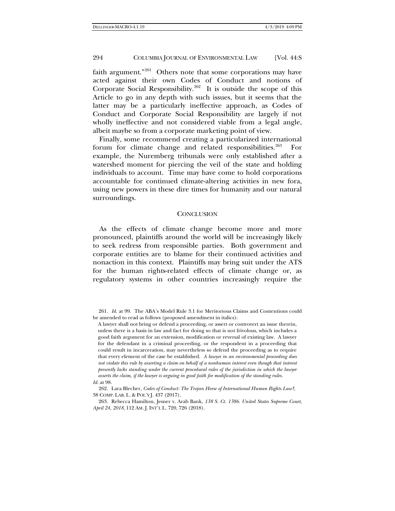faith argument."[261](#page-53-0) Others note that some corporations may have acted against their own Codes of Conduct and notions of Corporate Social Responsibility.<sup>[262](#page-53-1)</sup> It is outside the scope of this Article to go in any depth with such issues, but it seems that the latter may be a particularly ineffective approach, as Codes of Conduct and Corporate Social Responsibility are largely if not wholly ineffective and not considered viable from a legal angle, albeit maybe so from a corporate marketing point of view.

Finally, some recommend creating a particularized international forum for climate change and related responsibilities.<sup>[263](#page-53-2)</sup> For example, the Nuremberg tribunals were only established after a watershed moment for piercing the veil of the state and holding individuals to account. Time may have come to hold corporations accountable for continued climate-altering activities in new fora, using new powers in these dire times for humanity and our natural surroundings.

## **CONCLUSION**

As the effects of climate change become more and more pronounced, plaintiffs around the world will be increasingly likely to seek redress from responsible parties. Both government and corporate entities are to blame for their continued activities and nonaction in this context. Plaintiffs may bring suit under the ATS for the human rights-related effects of climate change or, as regulatory systems in other countries increasingly require the

<span id="page-53-0"></span>261*. Id*. at 99. The ABA's Model Rule 3.1 for Meritorious Claims and Contentions could be amended to read as follows (proposed amendment in italics):

A lawyer shall not bring or defend a proceeding, or assert or controvert an issue therein, unless there is a basis in law and fact for doing so that is not frivolous, which includes a good faith argument for an extension, modification or reversal of existing law. A lawyer for the defendant in a criminal proceeding, or the respondent in a proceeding that could result in incarceration, may nevertheless so defend the proceeding as to require that every element of the case be established. *A lawyer in an environmental proceeding does not violate this rule by asserting a claim on behalf of a nonhuman interest even though that interest presently lacks standing under the current procedural rules of the jurisdiction in which the lawyer asserts the claim, if the lawyer is arguing in good faith for modification of the standing rules*. *Id*. at 98.

<span id="page-53-1"></span>262. Lara Blecher, *Codes of Conduct: The Trojan Horse of International Human Rights Law?*, 38 COMP. LAB. L. & POL'Y J. 437 (2017).

<span id="page-53-2"></span>263. Rebecca Hamilton, Jesner v. Arab Bank, *138 S. Ct. 1386. United States Supreme Court, April 24, 2018*, 112 AM. J. INT'L L. 720, 726 (2018).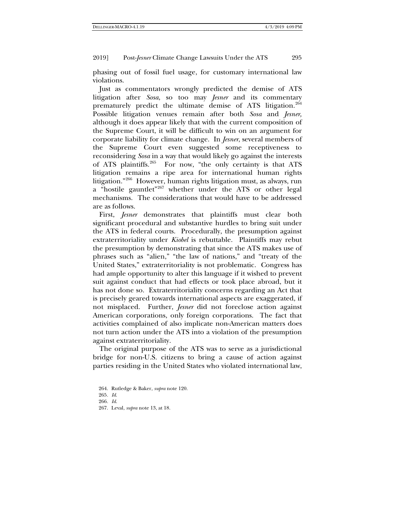phasing out of fossil fuel usage, for customary international law violations.

Just as commentators wrongly predicted the demise of ATS litigation after *Sosa*, so too may *Jesner* and its commentary prematurely predict the ultimate demise of ATS litigation.<sup>[264](#page-54-0)</sup> Possible litigation venues remain after both *Sosa* and *Jesner,*  although it does appear likely that with the current composition of the Supreme Court, it will be difficult to win on an argument for corporate liability for climate change. In *Jesner*, several members of the Supreme Court even suggested some receptiveness to reconsidering *Sosa* in a way that would likely go against the interests of ATS plaintiffs.[265](#page-54-1) For now, "the only certainty is that ATS litigation remains a ripe area for international human rights litigation."[266](#page-54-2) However, human rights litigation must, as always, run a "hostile gauntlet"<sup>[267](#page-54-3)</sup> whether under the ATS or other legal mechanisms. The considerations that would have to be addressed are as follows.

First, *Jesner* demonstrates that plaintiffs must clear both significant procedural and substantive hurdles to bring suit under the ATS in federal courts. Procedurally, the presumption against extraterritoriality under *Kiobel* is rebuttable. Plaintiffs may rebut the presumption by demonstrating that since the ATS makes use of phrases such as "alien," "the law of nations," and "treaty of the United States," extraterritoriality is not problematic. Congress has had ample opportunity to alter this language if it wished to prevent suit against conduct that had effects or took place abroad, but it has not done so. Extraterritoriality concerns regarding an Act that is precisely geared towards international aspects are exaggerated, if not misplaced. Further, *Jesner* did not foreclose action against American corporations, only foreign corporations. The fact that activities complained of also implicate non-American matters does not turn action under the ATS into a violation of the presumption against extraterritoriality.

The original purpose of the ATS was to serve as a jurisdictional bridge for non-U.S. citizens to bring a cause of action against parties residing in the United States who violated international law,

<span id="page-54-3"></span>267. Leval, *supra* not[e 13,](#page-4-9) at 18.

<sup>264.</sup> Rutledge & Baker, *supra* not[e 120.](#page-22-7)

<span id="page-54-1"></span><span id="page-54-0"></span><sup>265</sup>*. Id*.

<span id="page-54-2"></span><sup>266</sup>*. Id*.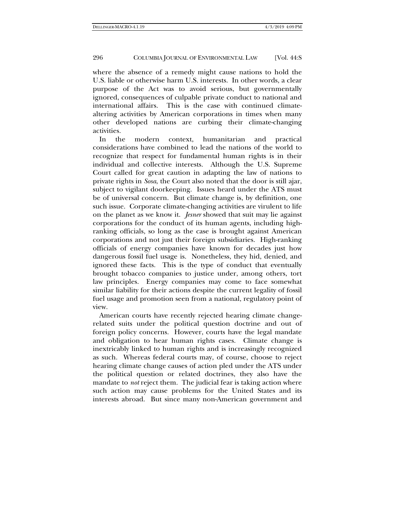where the absence of a remedy might cause nations to hold the U.S. liable or otherwise harm U.S. interests. In other words, a clear purpose of the Act was to avoid serious, but governmentally ignored, consequences of culpable private conduct to national and international affairs. This is the case with continued climatealtering activities by American corporations in times when many other developed nations are curbing their climate-changing activities.

In the modern context, humanitarian and practical considerations have combined to lead the nations of the world to recognize that respect for fundamental human rights is in their individual and collective interests. Although the U.S. Supreme Court called for great caution in adapting the law of nations to private rights in *Sosa*, the Court also noted that the door is still ajar, subject to vigilant doorkeeping. Issues heard under the ATS must be of universal concern. But climate change is, by definition, one such issue. Corporate climate-changing activities are virulent to life on the planet as we know it. *Jesner* showed that suit may lie against corporations for the conduct of its human agents, including highranking officials, so long as the case is brought against American corporations and not just their foreign subsidiaries. High-ranking officials of energy companies have known for decades just how dangerous fossil fuel usage is. Nonetheless, they hid, denied, and ignored these facts. This is the type of conduct that eventually brought tobacco companies to justice under, among others, tort law principles. Energy companies may come to face somewhat similar liability for their actions despite the current legality of fossil fuel usage and promotion seen from a national, regulatory point of view.

American courts have recently rejected hearing climate changerelated suits under the political question doctrine and out of foreign policy concerns. However, courts have the legal mandate and obligation to hear human rights cases. Climate change is inextricably linked to human rights and is increasingly recognized as such. Whereas federal courts may, of course, choose to reject hearing climate change causes of action pled under the ATS under the political question or related doctrines, they also have the mandate to *not* reject them. The judicial fear is taking action where such action may cause problems for the United States and its interests abroad. But since many non-American government and